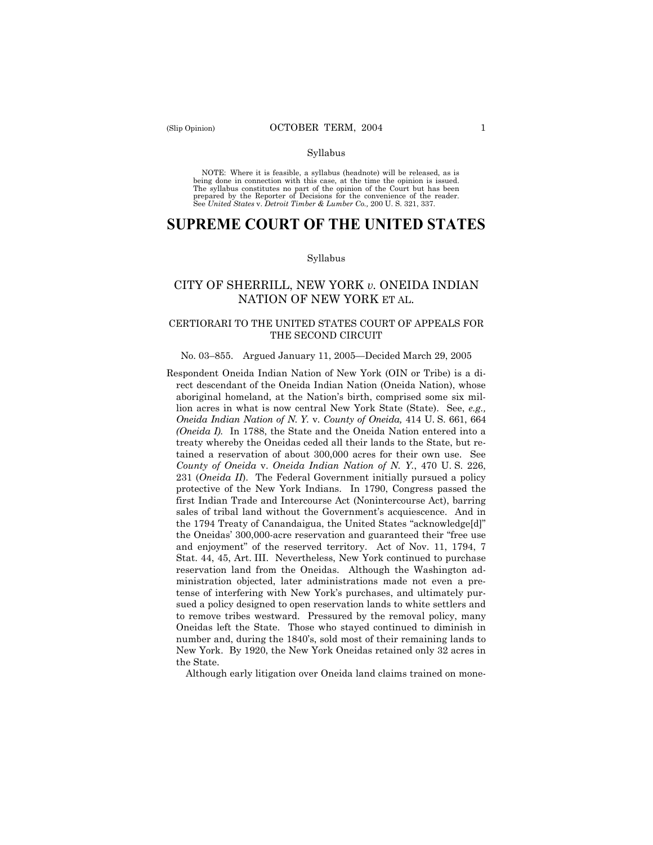NOTE: Where it is feasible, a syllabus (headnote) will be released, as is being done in connection with this case, at the time the opinion is issued. The syllabus constitutes no part of the opinion of the Court but has been<br>prepared by the Reporter of Decisions for the convenience of the reader.<br>See United States v. Detroit Timber & Lumber Co., 200 U. S. 321, 337.

# **SUPREME COURT OF THE UNITED STATES**

#### Syllabus

# CITY OF SHERRILL, NEW YORK *v.* ONEIDA INDIAN NATION OF NEW YORK ET AL.

### CERTIORARI TO THE UNITED STATES COURT OF APPEALS FOR THE SECOND CIRCUIT

#### No. 03–855. Argued January 11, 2005—Decided March 29, 2005

Respondent Oneida Indian Nation of New York (OIN or Tribe) is a direct descendant of the Oneida Indian Nation (Oneida Nation), whose aboriginal homeland, at the Nation's birth, comprised some six million acres in what is now central New York State (State). See, *e.g., Oneida Indian Nation of N. Y.* v. *County of Oneida,* 414 U. S. 661, 664 *(Oneida I)*. In 1788, the State and the Oneida Nation entered into a treaty whereby the Oneidas ceded all their lands to the State, but retained a reservation of about 300,000 acres for their own use. See *County of Oneida* v. *Oneida Indian Nation of N. Y.*, 470 U. S. 226, 231 (*Oneida II*). The Federal Government initially pursued a policy protective of the New York Indians. In 1790, Congress passed the first Indian Trade and Intercourse Act (Nonintercourse Act), barring sales of tribal land without the Government's acquiescence. And in the 1794 Treaty of Canandaigua, the United States "acknowledge[d]" the Oneidas' 300,000-acre reservation and guaranteed their "free use and enjoyment" of the reserved territory. Act of Nov. 11, 1794, 7 Stat. 44, 45, Art. III. Nevertheless, New York continued to purchase reservation land from the Oneidas. Although the Washington administration objected, later administrations made not even a pretense of interfering with New York's purchases, and ultimately pursued a policy designed to open reservation lands to white settlers and to remove tribes westward. Pressured by the removal policy, many Oneidas left the State. Those who stayed continued to diminish in number and, during the 1840's, sold most of their remaining lands to New York. By 1920, the New York Oneidas retained only 32 acres in the State.

Although early litigation over Oneida land claims trained on mone-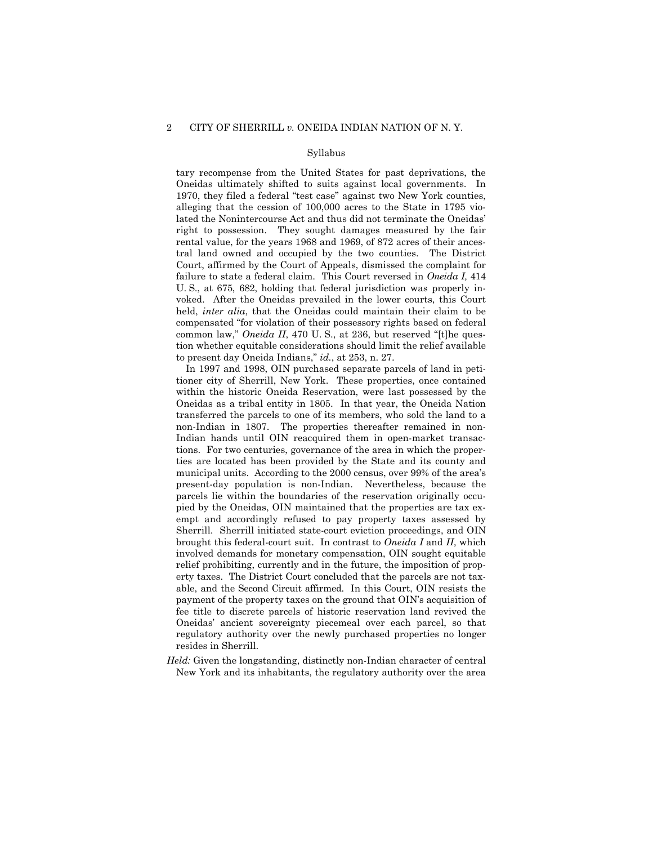tary recompense from the United States for past deprivations, the Oneidas ultimately shifted to suits against local governments. In 1970, they filed a federal "test case" against two New York counties, alleging that the cession of 100,000 acres to the State in 1795 violated the Nonintercourse Act and thus did not terminate the Oneidas' right to possession. They sought damages measured by the fair rental value, for the years 1968 and 1969, of 872 acres of their ancestral land owned and occupied by the two counties. The District Court, affirmed by the Court of Appeals, dismissed the complaint for failure to state a federal claim. This Court reversed in *Oneida I,* 414 U. S., at 675, 682, holding that federal jurisdiction was properly invoked. After the Oneidas prevailed in the lower courts, this Court held, *inter alia*, that the Oneidas could maintain their claim to be compensated "for violation of their possessory rights based on federal common law," *Oneida II*, 470 U. S., at 236, but reserved "[t]he question whether equitable considerations should limit the relief available to present day Oneida Indians," *id.*, at 253, n. 27.

In 1997 and 1998, OIN purchased separate parcels of land in petitioner city of Sherrill, New York. These properties, once contained within the historic Oneida Reservation, were last possessed by the Oneidas as a tribal entity in 1805. In that year, the Oneida Nation transferred the parcels to one of its members, who sold the land to a non-Indian in 1807. The properties thereafter remained in non-Indian hands until OIN reacquired them in open-market transactions. For two centuries, governance of the area in which the properties are located has been provided by the State and its county and municipal units. According to the 2000 census, over 99% of the area's present-day population is non-Indian. Nevertheless, because the parcels lie within the boundaries of the reservation originally occupied by the Oneidas, OIN maintained that the properties are tax exempt and accordingly refused to pay property taxes assessed by Sherrill. Sherrill initiated state-court eviction proceedings, and OIN brought this federal-court suit. In contrast to *Oneida I* and *II*, which involved demands for monetary compensation, OIN sought equitable relief prohibiting, currently and in the future, the imposition of property taxes. The District Court concluded that the parcels are not taxable, and the Second Circuit affirmed. In this Court, OIN resists the payment of the property taxes on the ground that OIN's acquisition of fee title to discrete parcels of historic reservation land revived the Oneidas' ancient sovereignty piecemeal over each parcel, so that regulatory authority over the newly purchased properties no longer resides in Sherrill.

*Held:* Given the longstanding, distinctly non-Indian character of central New York and its inhabitants, the regulatory authority over the area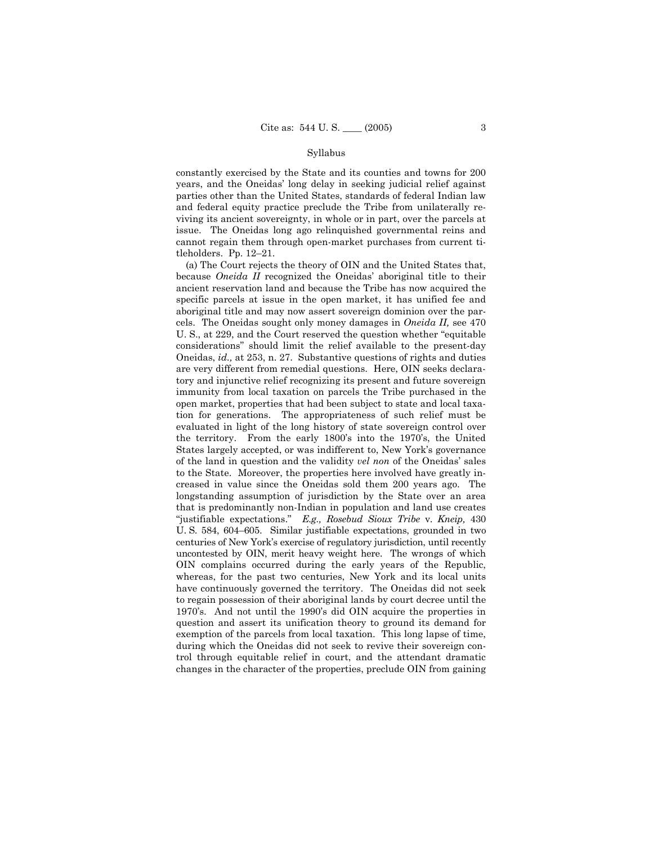constantly exercised by the State and its counties and towns for 200 years, and the Oneidas' long delay in seeking judicial relief against parties other than the United States, standards of federal Indian law and federal equity practice preclude the Tribe from unilaterally reviving its ancient sovereignty, in whole or in part, over the parcels at issue. The Oneidas long ago relinquished governmental reins and cannot regain them through open-market purchases from current titleholders. Pp. 12–21.

(a) The Court rejects the theory of OIN and the United States that, because *Oneida II* recognized the Oneidas' aboriginal title to their ancient reservation land and because the Tribe has now acquired the specific parcels at issue in the open market, it has unified fee and aboriginal title and may now assert sovereign dominion over the parcels. The Oneidas sought only money damages in *Oneida II,* see 470 U. S., at 229, and the Court reserved the question whether "equitable considerations" should limit the relief available to the present-day Oneidas, *id.,* at 253, n. 27. Substantive questions of rights and duties are very different from remedial questions. Here, OIN seeks declaratory and injunctive relief recognizing its present and future sovereign immunity from local taxation on parcels the Tribe purchased in the open market, properties that had been subject to state and local taxation for generations. The appropriateness of such relief must be evaluated in light of the long history of state sovereign control over the territory. From the early 1800's into the 1970's, the United States largely accepted, or was indifferent to, New York's governance of the land in question and the validity *vel non* of the Oneidas' sales to the State. Moreover, the properties here involved have greatly increased in value since the Oneidas sold them 200 years ago. The longstanding assumption of jurisdiction by the State over an area that is predominantly non-Indian in population and land use creates "justifiable expectations." *E.g., Rosebud Sioux Tribe* v. *Kneip,* 430 U. S. 584, 604–605. Similar justifiable expectations, grounded in two centuries of New York's exercise of regulatory jurisdiction, until recently uncontested by OIN, merit heavy weight here. The wrongs of which OIN complains occurred during the early years of the Republic, whereas, for the past two centuries, New York and its local units have continuously governed the territory. The Oneidas did not seek to regain possession of their aboriginal lands by court decree until the 1970's. And not until the 1990's did OIN acquire the properties in question and assert its unification theory to ground its demand for exemption of the parcels from local taxation. This long lapse of time, during which the Oneidas did not seek to revive their sovereign control through equitable relief in court, and the attendant dramatic changes in the character of the properties, preclude OIN from gaining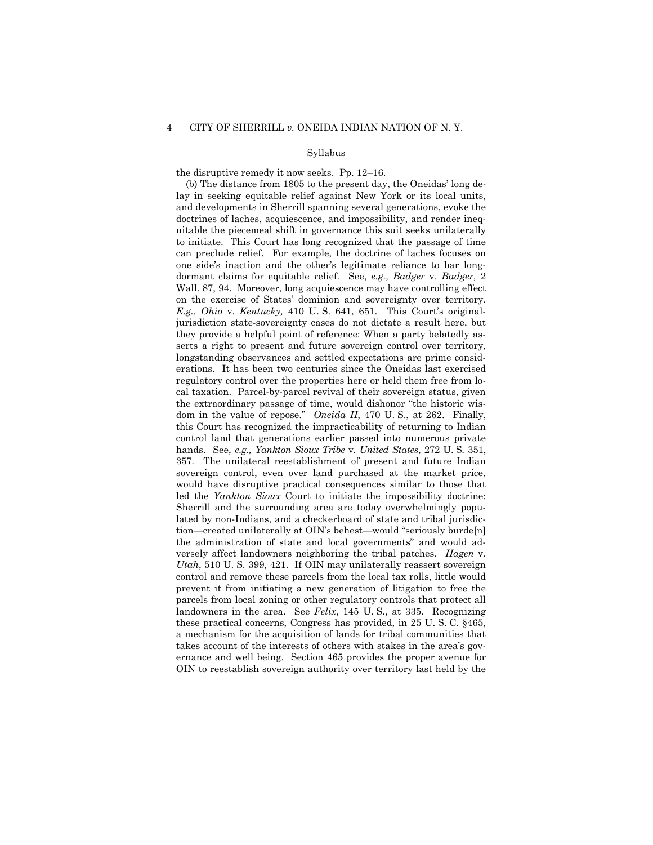the disruptive remedy it now seeks. Pp. 12–16.

(b) The distance from 1805 to the present day, the Oneidas' long delay in seeking equitable relief against New York or its local units, and developments in Sherrill spanning several generations, evoke the doctrines of laches, acquiescence, and impossibility, and render inequitable the piecemeal shift in governance this suit seeks unilaterally to initiate. This Court has long recognized that the passage of time can preclude relief. For example, the doctrine of laches focuses on one side's inaction and the other's legitimate reliance to bar longdormant claims for equitable relief. See, *e.g., Badger* v. *Badger,* 2 Wall. 87, 94. Moreover, long acquiescence may have controlling effect on the exercise of States' dominion and sovereignty over territory. *E.g., Ohio* v. *Kentucky,* 410 U. S. 641, 651. This Court's originaljurisdiction state-sovereignty cases do not dictate a result here, but they provide a helpful point of reference: When a party belatedly asserts a right to present and future sovereign control over territory, longstanding observances and settled expectations are prime considerations. It has been two centuries since the Oneidas last exercised regulatory control over the properties here or held them free from local taxation. Parcel-by-parcel revival of their sovereign status, given the extraordinary passage of time, would dishonor "the historic wisdom in the value of repose." *Oneida II*, 470 U. S., at 262. Finally, this Court has recognized the impracticability of returning to Indian control land that generations earlier passed into numerous private hands. See, *e.g., Yankton Sioux Tribe* v. *United States*, 272 U. S. 351, 357. The unilateral reestablishment of present and future Indian sovereign control, even over land purchased at the market price, would have disruptive practical consequences similar to those that led the *Yankton Sioux* Court to initiate the impossibility doctrine: Sherrill and the surrounding area are today overwhelmingly populated by non-Indians, and a checkerboard of state and tribal jurisdiction—created unilaterally at OIN's behest—would "seriously burde[n] the administration of state and local governments" and would adversely affect landowners neighboring the tribal patches. *Hagen* v. *Utah*, 510 U. S. 399, 421. If OIN may unilaterally reassert sovereign control and remove these parcels from the local tax rolls, little would prevent it from initiating a new generation of litigation to free the parcels from local zoning or other regulatory controls that protect all landowners in the area. See *Felix*, 145 U. S., at 335. Recognizing these practical concerns, Congress has provided, in 25 U. S. C. §465, a mechanism for the acquisition of lands for tribal communities that takes account of the interests of others with stakes in the area's governance and well being. Section 465 provides the proper avenue for OIN to reestablish sovereign authority over territory last held by the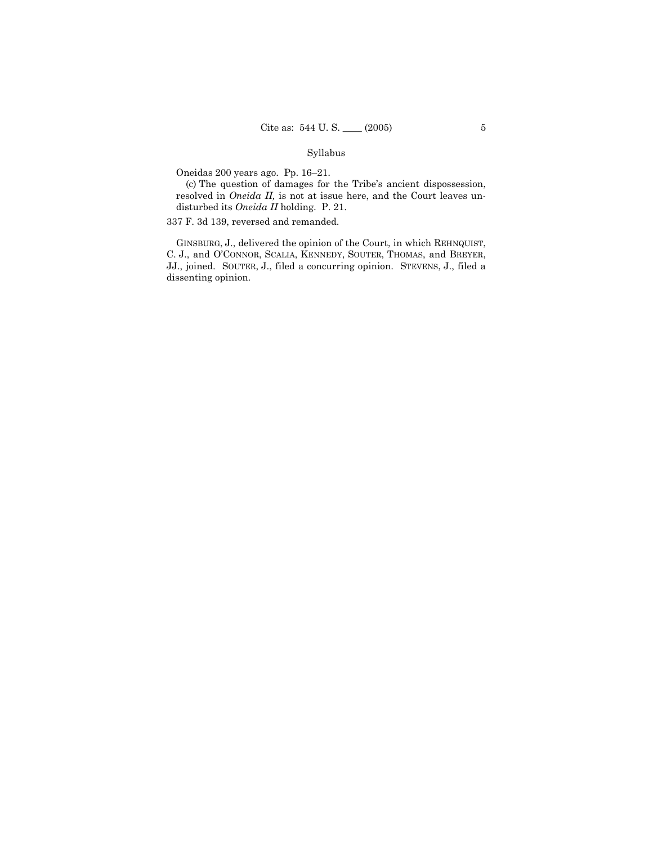Oneidas 200 years ago. Pp. 16–21.

(c) The question of damages for the Tribe's ancient dispossession, resolved in *Oneida II,* is not at issue here, and the Court leaves undisturbed its *Oneida II* holding. P. 21.

337 F. 3d 139, reversed and remanded.

GINSBURG, J., delivered the opinion of the Court, in which REHNQUIST, C. J., and O'CONNOR, SCALIA, KENNEDY, SOUTER, THOMAS, and BREYER, JJ., joined. SOUTER, J., filed a concurring opinion. STEVENS, J., filed a dissenting opinion.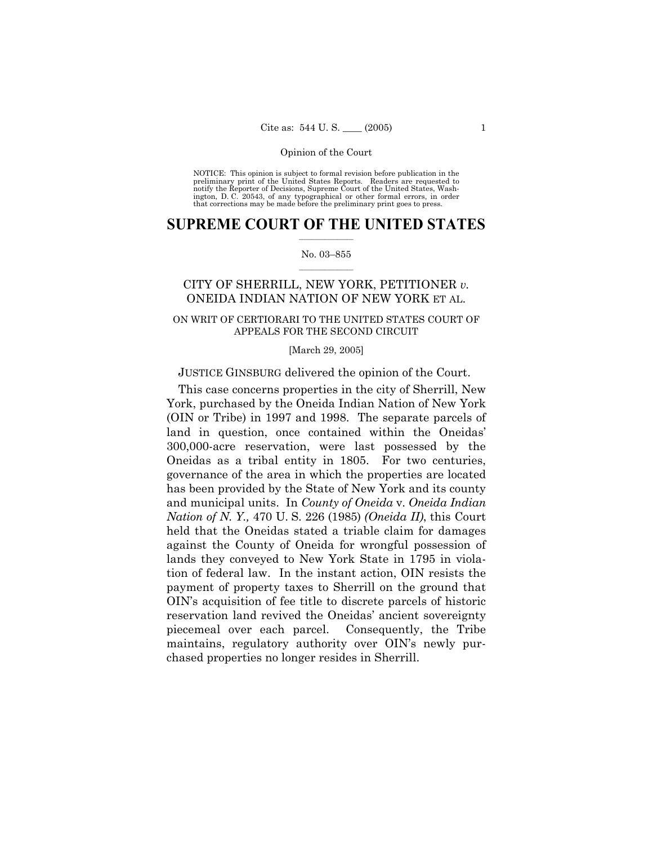NOTICE: This opinion is subject to formal revision before publication in the preliminary print of the United States Reports. Readers are requested to notify the Reporter of Decisions, Supreme Court of the United States, Washington, D. C. 20543, of any typographical or other formal errors, in order that corrections may be made before the preliminary print goes to press.

### $\frac{1}{2}$  ,  $\frac{1}{2}$  ,  $\frac{1}{2}$  ,  $\frac{1}{2}$  ,  $\frac{1}{2}$  ,  $\frac{1}{2}$  ,  $\frac{1}{2}$ **SUPREME COURT OF THE UNITED STATES**

#### $\mathcal{L}=\mathcal{L}$ No. 03–855

## CITY OF SHERRILL, NEW YORK, PETITIONER *v.*  ONEIDA INDIAN NATION OF NEW YORK ET AL.

### ON WRIT OF CERTIORARI TO THE UNITED STATES COURT OF APPEALS FOR THE SECOND CIRCUIT

#### [March 29, 2005]

### JUSTICE GINSBURG delivered the opinion of the Court.

This case concerns properties in the city of Sherrill, New York, purchased by the Oneida Indian Nation of New York (OIN or Tribe) in 1997 and 1998. The separate parcels of land in question, once contained within the Oneidas' 300,000-acre reservation, were last possessed by the Oneidas as a tribal entity in 1805. For two centuries, governance of the area in which the properties are located has been provided by the State of New York and its county and municipal units. In *County of Oneida* v. *Oneida Indian Nation of N. Y.,* 470 U. S. 226 (1985) *(Oneida II)*, this Court held that the Oneidas stated a triable claim for damages against the County of Oneida for wrongful possession of lands they conveyed to New York State in 1795 in violation of federal law. In the instant action, OIN resists the payment of property taxes to Sherrill on the ground that OIN's acquisition of fee title to discrete parcels of historic reservation land revived the Oneidas' ancient sovereignty piecemeal over each parcel. Consequently, the Tribe maintains, regulatory authority over OIN's newly purchased properties no longer resides in Sherrill.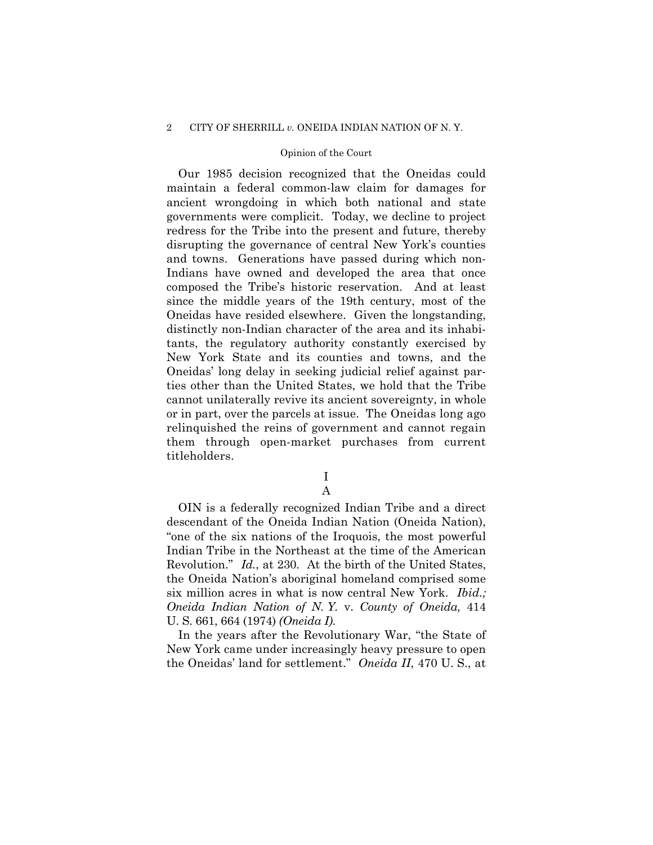#### 2 CITY OF SHERRILL *v.* ONEIDA INDIAN NATION OF N. Y.

#### Opinion of the Court

Our 1985 decision recognized that the Oneidas could maintain a federal common-law claim for damages for ancient wrongdoing in which both national and state governments were complicit. Today, we decline to project redress for the Tribe into the present and future, thereby disrupting the governance of central New York's counties and towns. Generations have passed during which non-Indians have owned and developed the area that once composed the Tribe's historic reservation. And at least since the middle years of the 19th century, most of the Oneidas have resided elsewhere. Given the longstanding, distinctly non-Indian character of the area and its inhabitants, the regulatory authority constantly exercised by New York State and its counties and towns, and the Oneidas' long delay in seeking judicial relief against parties other than the United States, we hold that the Tribe cannot unilaterally revive its ancient sovereignty, in whole or in part, over the parcels at issue. The Oneidas long ago relinquished the reins of government and cannot regain them through open-market purchases from current titleholders.

> I A

OIN is a federally recognized Indian Tribe and a direct descendant of the Oneida Indian Nation (Oneida Nation), "one of the six nations of the Iroquois, the most powerful Indian Tribe in the Northeast at the time of the American Revolution." *Id.*, at 230. At the birth of the United States, the Oneida Nation's aboriginal homeland comprised some six million acres in what is now central New York. *Ibid.; Oneida Indian Nation of N. Y.* v. *County of Oneida,* 414 U. S. 661, 664 (1974) *(Oneida I)*.

In the years after the Revolutionary War, "the State of New York came under increasingly heavy pressure to open the Oneidas' land for settlement." *Oneida II*, 470 U. S., at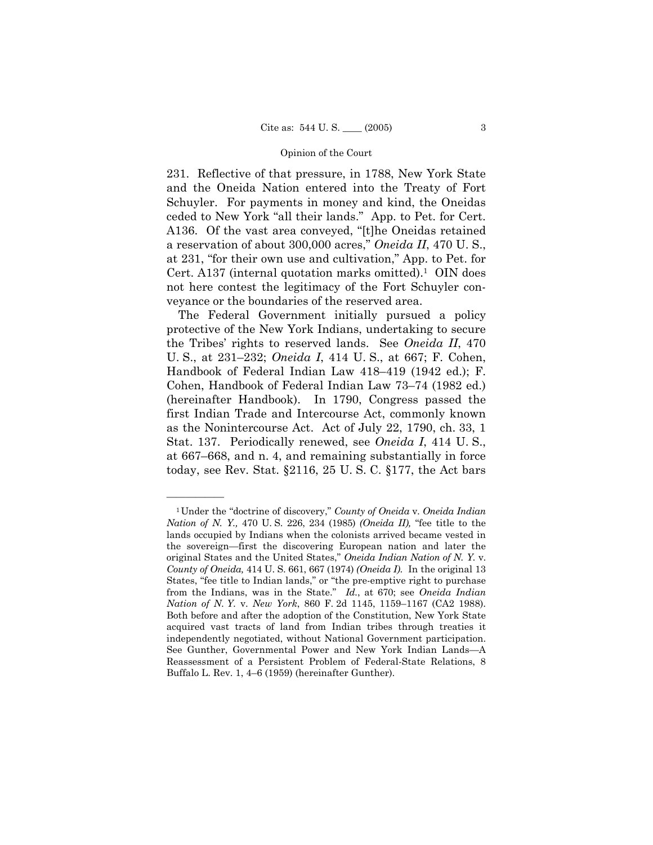231. Reflective of that pressure, in 1788, New York State and the Oneida Nation entered into the Treaty of Fort Schuyler. For payments in money and kind, the Oneidas ceded to New York "all their lands." App. to Pet. for Cert. A136. Of the vast area conveyed, "[t]he Oneidas retained a reservation of about 300,000 acres," *Oneida II*, 470 U. S., at 231, "for their own use and cultivation," App. to Pet. for Cert. A137 (internal quotation marks omitted).<sup>1</sup> OIN does not here contest the legitimacy of the Fort Schuyler conveyance or the boundaries of the reserved area.

The Federal Government initially pursued a policy protective of the New York Indians, undertaking to secure the Tribes' rights to reserved lands. See *Oneida II*, 470 U. S., at 231–232; *Oneida I*, 414 U. S., at 667; F. Cohen, Handbook of Federal Indian Law 418–419 (1942 ed.); F. Cohen, Handbook of Federal Indian Law 73–74 (1982 ed.) (hereinafter Handbook). In 1790, Congress passed the first Indian Trade and Intercourse Act, commonly known as the Nonintercourse Act. Act of July 22, 1790, ch. 33, 1 Stat. 137. Periodically renewed, see *Oneida I*, 414 U. S., at 667–668, and n. 4, and remaining substantially in force today, see Rev. Stat. §2116, 25 U. S. C. §177, the Act bars

<sup>1</sup>Under the "doctrine of discovery," *County of Oneida* v. *Oneida Indian Nation of N. Y.,* 470 U. S. 226, 234 (1985) *(Oneida II),* "fee title to the lands occupied by Indians when the colonists arrived became vested in the sovereign—first the discovering European nation and later the original States and the United States," *Oneida Indian Nation of N. Y.* v. *County of Oneida,* 414 U. S. 661, 667 (1974) *(Oneida I)*. In the original 13 States, "fee title to Indian lands," or "the pre-emptive right to purchase from the Indians, was in the State." *Id.*, at 670; see *Oneida Indian Nation of N. Y.* v. *New York*, 860 F. 2d 1145, 1159–1167 (CA2 1988). Both before and after the adoption of the Constitution, New York State acquired vast tracts of land from Indian tribes through treaties it independently negotiated, without National Government participation. See Gunther, Governmental Power and New York Indian Lands—A Reassessment of a Persistent Problem of Federal-State Relations, 8 Buffalo L. Rev. 1, 4–6 (1959) (hereinafter Gunther).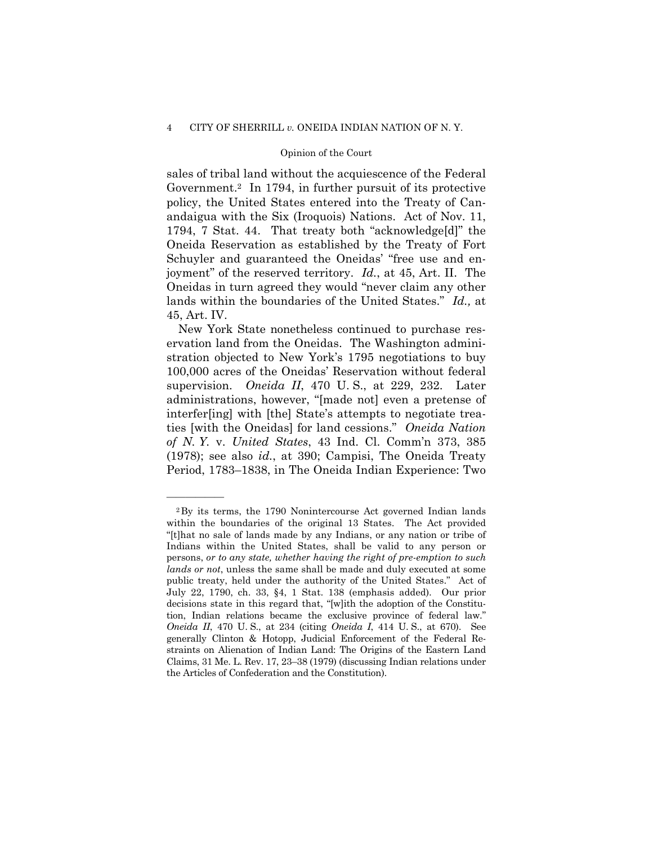sales of tribal land without the acquiescence of the Federal Government.2 In 1794, in further pursuit of its protective policy, the United States entered into the Treaty of Canandaigua with the Six (Iroquois) Nations. Act of Nov. 11, 1794, 7 Stat. 44. That treaty both "acknowledge[d]" the Oneida Reservation as established by the Treaty of Fort Schuyler and guaranteed the Oneidas' "free use and enjoyment" of the reserved territory. *Id.*, at 45, Art. II. The Oneidas in turn agreed they would "never claim any other lands within the boundaries of the United States." *Id.,* at 45, Art. IV.

New York State nonetheless continued to purchase reservation land from the Oneidas. The Washington administration objected to New York's 1795 negotiations to buy 100,000 acres of the Oneidas' Reservation without federal supervision. *Oneida II*, 470 U. S., at 229, 232. Later administrations, however, "[made not] even a pretense of interfer[ing] with [the] State's attempts to negotiate treaties [with the Oneidas] for land cessions." *Oneida Nation of N. Y.* v. *United States*, 43 Ind. Cl. Comm'n 373, 385 (1978); see also *id.*, at 390; Campisi, The Oneida Treaty Period, 1783–1838, in The Oneida Indian Experience: Two

<sup>2</sup>By its terms, the 1790 Nonintercourse Act governed Indian lands within the boundaries of the original 13 States. The Act provided "[t]hat no sale of lands made by any Indians, or any nation or tribe of Indians within the United States, shall be valid to any person or persons, *or to any state, whether having the right of pre-emption to such lands or not*, unless the same shall be made and duly executed at some public treaty, held under the authority of the United States." Act of July 22, 1790, ch. 33, §4, 1 Stat. 138 (emphasis added). Our prior decisions state in this regard that, "[w]ith the adoption of the Constitution, Indian relations became the exclusive province of federal law." *Oneida II*, 470 U. S., at 234 (citing *Oneida I*, 414 U. S., at 670). See generally Clinton & Hotopp, Judicial Enforcement of the Federal Restraints on Alienation of Indian Land: The Origins of the Eastern Land Claims, 31 Me. L. Rev. 17, 23–38 (1979) (discussing Indian relations under the Articles of Confederation and the Constitution).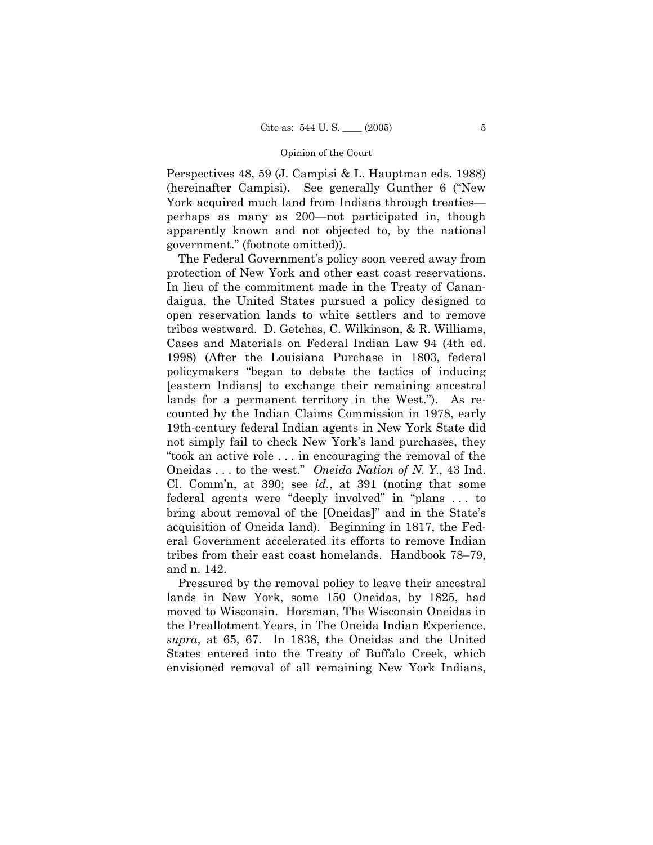Perspectives 48, 59 (J. Campisi & L. Hauptman eds. 1988) (hereinafter Campisi). See generally Gunther 6 ("New York acquired much land from Indians through treaties perhaps as many as 200—not participated in, though apparently known and not objected to, by the national government." (footnote omitted)).

The Federal Government's policy soon veered away from protection of New York and other east coast reservations. In lieu of the commitment made in the Treaty of Canandaigua, the United States pursued a policy designed to open reservation lands to white settlers and to remove tribes westward. D. Getches, C. Wilkinson, & R. Williams, Cases and Materials on Federal Indian Law 94 (4th ed. 1998) (After the Louisiana Purchase in 1803, federal policymakers "began to debate the tactics of inducing [eastern Indians] to exchange their remaining ancestral lands for a permanent territory in the West."). As recounted by the Indian Claims Commission in 1978, early 19th-century federal Indian agents in New York State did not simply fail to check New York's land purchases, they "took an active role . . . in encouraging the removal of the Oneidas . . . to the west." *Oneida Nation of N. Y.*, 43 Ind. Cl. Comm'n, at 390; see *id.*, at 391 (noting that some federal agents were "deeply involved" in "plans . . . to bring about removal of the [Oneidas]" and in the State's acquisition of Oneida land). Beginning in 1817, the Federal Government accelerated its efforts to remove Indian tribes from their east coast homelands. Handbook 78–79, and n. 142.

Pressured by the removal policy to leave their ancestral lands in New York, some 150 Oneidas, by 1825, had moved to Wisconsin. Horsman, The Wisconsin Oneidas in the Preallotment Years, in The Oneida Indian Experience, *supra*, at 65, 67. In 1838, the Oneidas and the United States entered into the Treaty of Buffalo Creek, which envisioned removal of all remaining New York Indians,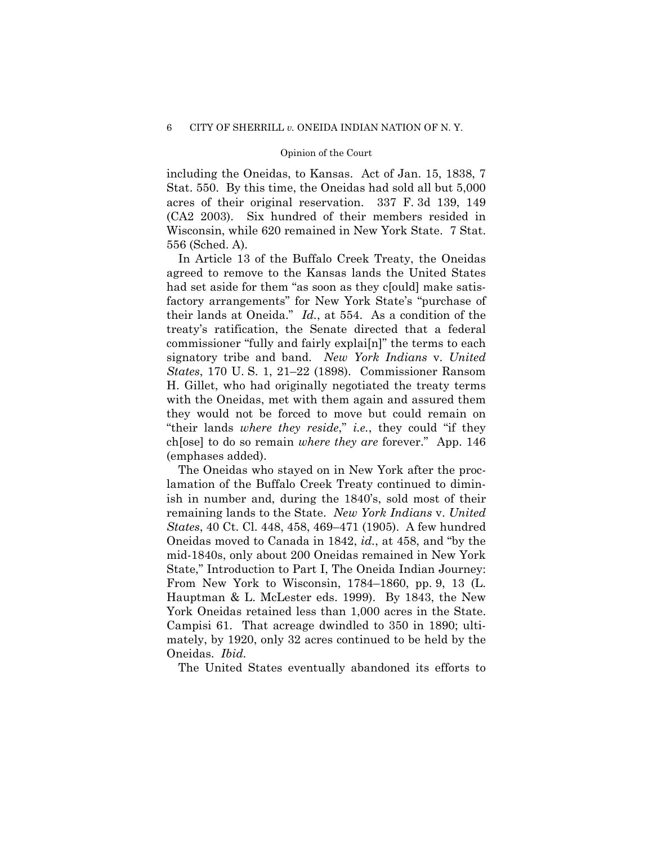including the Oneidas, to Kansas. Act of Jan. 15, 1838, 7 Stat. 550. By this time, the Oneidas had sold all but 5,000 acres of their original reservation. 337 F. 3d 139, 149 (CA2 2003). Six hundred of their members resided in Wisconsin, while 620 remained in New York State. 7 Stat. 556 (Sched. A).

In Article 13 of the Buffalo Creek Treaty, the Oneidas agreed to remove to the Kansas lands the United States had set aside for them "as soon as they c[ould] make satisfactory arrangements" for New York State's "purchase of their lands at Oneida." *Id.*, at 554. As a condition of the treaty's ratification, the Senate directed that a federal commissioner "fully and fairly explai[n]" the terms to each signatory tribe and band. *New York Indians* v. *United States*, 170 U. S. 1, 21–22 (1898). Commissioner Ransom H. Gillet, who had originally negotiated the treaty terms with the Oneidas, met with them again and assured them they would not be forced to move but could remain on "their lands *where they reside*," *i.e.*, they could "if they ch[ose] to do so remain *where they are* forever." App. 146 (emphases added).

The Oneidas who stayed on in New York after the proclamation of the Buffalo Creek Treaty continued to diminish in number and, during the 1840's, sold most of their remaining lands to the State. *New York Indians* v. *United States*, 40 Ct. Cl. 448, 458, 469–471 (1905). A few hundred Oneidas moved to Canada in 1842, *id.*, at 458, and "by the mid-1840s, only about 200 Oneidas remained in New York State," Introduction to Part I, The Oneida Indian Journey: From New York to Wisconsin, 1784–1860, pp. 9, 13 (L. Hauptman & L. McLester eds. 1999). By 1843, the New York Oneidas retained less than 1,000 acres in the State. Campisi 61. That acreage dwindled to 350 in 1890; ultimately, by 1920, only 32 acres continued to be held by the Oneidas. *Ibid.* 

The United States eventually abandoned its efforts to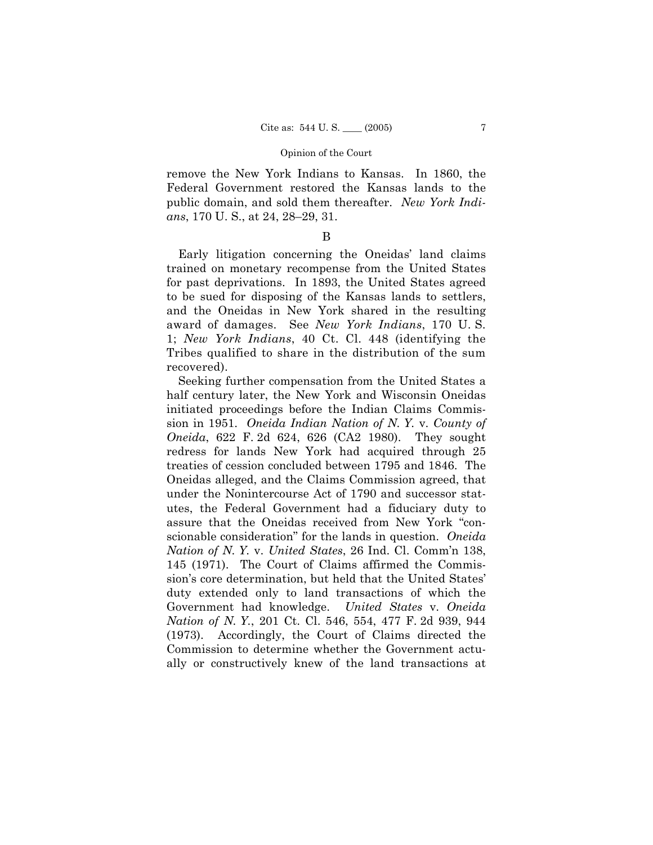remove the New York Indians to Kansas. In 1860, the Federal Government restored the Kansas lands to the public domain, and sold them thereafter. *New York Indians*, 170 U. S., at 24, 28–29, 31.

### B

Early litigation concerning the Oneidas' land claims trained on monetary recompense from the United States for past deprivations. In 1893, the United States agreed to be sued for disposing of the Kansas lands to settlers, and the Oneidas in New York shared in the resulting award of damages. See *New York Indians*, 170 U. S. 1; *New York Indians*, 40 Ct. Cl. 448 (identifying the Tribes qualified to share in the distribution of the sum recovered).

Seeking further compensation from the United States a half century later, the New York and Wisconsin Oneidas initiated proceedings before the Indian Claims Commission in 1951. *Oneida Indian Nation of N. Y.* v. *County of Oneida*, 622 F. 2d 624, 626 (CA2 1980). They sought redress for lands New York had acquired through 25 treaties of cession concluded between 1795 and 1846. The Oneidas alleged, and the Claims Commission agreed, that under the Nonintercourse Act of 1790 and successor statutes, the Federal Government had a fiduciary duty to assure that the Oneidas received from New York "conscionable consideration" for the lands in question. *Oneida Nation of N. Y.* v. *United States*, 26 Ind. Cl. Comm'n 138, 145 (1971). The Court of Claims affirmed the Commission's core determination, but held that the United States' duty extended only to land transactions of which the Government had knowledge. *United States* v. *Oneida Nation of N. Y.*, 201 Ct. Cl. 546, 554, 477 F. 2d 939, 944 (1973). Accordingly, the Court of Claims directed the Commission to determine whether the Government actually or constructively knew of the land transactions at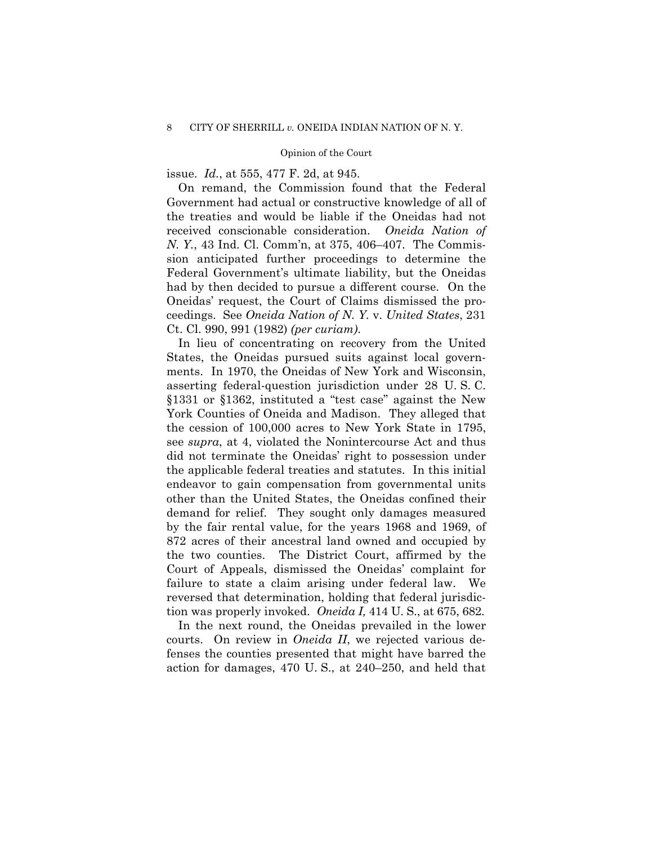issue. *Id.*, at 555, 477 F. 2d, at 945.

On remand, the Commission found that the Federal Government had actual or constructive knowledge of all of the treaties and would be liable if the Oneidas had not received conscionable consideration. *Oneida Nation of N. Y.*, 43 Ind. Cl. Comm'n, at 375, 406–407. The Commission anticipated further proceedings to determine the Federal Government's ultimate liability, but the Oneidas had by then decided to pursue a different course. On the Oneidas' request, the Court of Claims dismissed the proceedings. See *Oneida Nation of N. Y.* v. *United States*, 231 Ct. Cl. 990, 991 (1982) *(per curiam)*.

In lieu of concentrating on recovery from the United States, the Oneidas pursued suits against local governments. In 1970, the Oneidas of New York and Wisconsin, asserting federal-question jurisdiction under 28 U. S. C. §1331 or §1362, instituted a "test case" against the New York Counties of Oneida and Madison. They alleged that the cession of 100,000 acres to New York State in 1795, see *supra*, at 4, violated the Nonintercourse Act and thus did not terminate the Oneidas' right to possession under the applicable federal treaties and statutes. In this initial endeavor to gain compensation from governmental units other than the United States, the Oneidas confined their demand for relief. They sought only damages measured by the fair rental value, for the years 1968 and 1969, of 872 acres of their ancestral land owned and occupied by the two counties. The District Court, affirmed by the Court of Appeals, dismissed the Oneidas' complaint for failure to state a claim arising under federal law. We reversed that determination, holding that federal jurisdiction was properly invoked. *Oneida I,* 414 U. S., at 675, 682.

In the next round, the Oneidas prevailed in the lower courts. On review in *Oneida II*, we rejected various defenses the counties presented that might have barred the action for damages, 470 U. S., at 240–250, and held that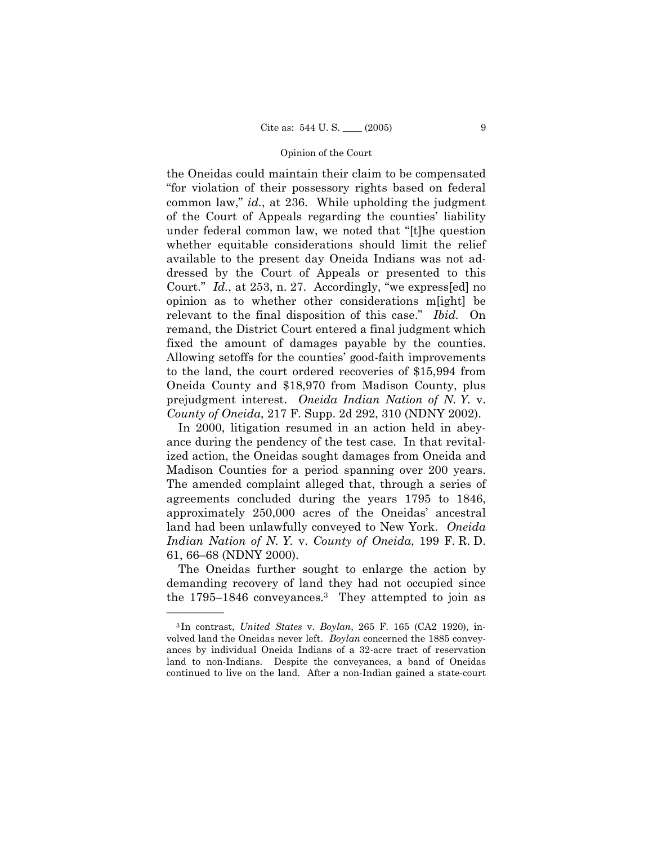the Oneidas could maintain their claim to be compensated "for violation of their possessory rights based on federal common law," *id.*, at 236. While upholding the judgment of the Court of Appeals regarding the counties' liability under federal common law, we noted that "[t]he question whether equitable considerations should limit the relief available to the present day Oneida Indians was not addressed by the Court of Appeals or presented to this Court." *Id.*, at 253, n. 27. Accordingly, "we express[ed] no opinion as to whether other considerations m[ight] be relevant to the final disposition of this case." *Ibid.* On remand, the District Court entered a final judgment which fixed the amount of damages payable by the counties. Allowing setoffs for the counties' good-faith improvements to the land, the court ordered recoveries of \$15,994 from Oneida County and \$18,970 from Madison County, plus prejudgment interest. *Oneida Indian Nation of N. Y.* v. *County of Oneida*, 217 F. Supp. 2d 292, 310 (NDNY 2002).

In 2000, litigation resumed in an action held in abeyance during the pendency of the test case. In that revitalized action, the Oneidas sought damages from Oneida and Madison Counties for a period spanning over 200 years. The amended complaint alleged that, through a series of agreements concluded during the years 1795 to 1846, approximately 250,000 acres of the Oneidas' ancestral land had been unlawfully conveyed to New York. *Oneida Indian Nation of N. Y.* v. *County of Oneida*, 199 F. R. D. 61, 66–68 (NDNY 2000).

The Oneidas further sought to enlarge the action by demanding recovery of land they had not occupied since the 1795–1846 conveyances.3 They attempted to join as

<sup>3</sup> In contrast, *United States* v. *Boylan*, 265 F. 165 (CA2 1920), involved land the Oneidas never left. *Boylan* concerned the 1885 conveyances by individual Oneida Indians of a 32-acre tract of reservation land to non-Indians. Despite the conveyances, a band of Oneidas continued to live on the land. After a non-Indian gained a state-court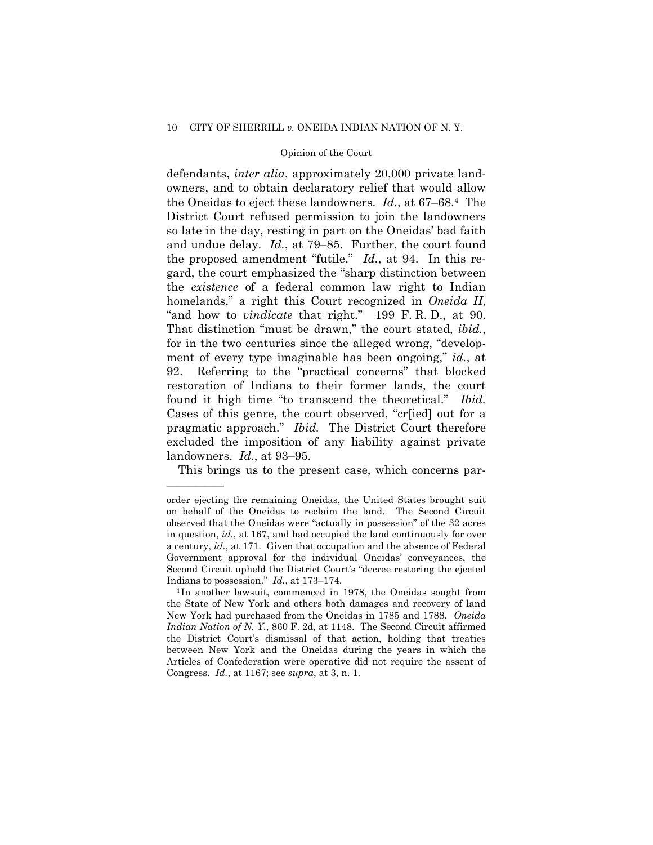#### 10 CITY OF SHERRILL *v.* ONEIDA INDIAN NATION OF N. Y.

#### Opinion of the Court

defendants, *inter alia*, approximately 20,000 private landowners, and to obtain declaratory relief that would allow the Oneidas to eject these landowners. *Id.*, at 67–68.4 The District Court refused permission to join the landowners so late in the day, resting in part on the Oneidas' bad faith and undue delay. *Id.*, at 79–85. Further, the court found the proposed amendment "futile." *Id.*, at 94. In this regard, the court emphasized the "sharp distinction between the *existence* of a federal common law right to Indian homelands," a right this Court recognized in *Oneida II*, "and how to *vindicate* that right." 199 F. R. D., at 90. That distinction "must be drawn," the court stated, *ibid.*, for in the two centuries since the alleged wrong, "development of every type imaginable has been ongoing," *id.*, at 92. Referring to the "practical concerns" that blocked restoration of Indians to their former lands, the court found it high time "to transcend the theoretical." *Ibid.*  Cases of this genre, the court observed, "cr[ied] out for a pragmatic approach." *Ibid.* The District Court therefore excluded the imposition of any liability against private landowners. *Id.*, at 93–95.

This brings us to the present case, which concerns par-

order ejecting the remaining Oneidas, the United States brought suit on behalf of the Oneidas to reclaim the land. The Second Circuit observed that the Oneidas were "actually in possession" of the 32 acres in question, *id.*, at 167, and had occupied the land continuously for over a century, *id.*, at 171. Given that occupation and the absence of Federal Government approval for the individual Oneidas' conveyances, the Second Circuit upheld the District Court's "decree restoring the ejected Indians to possession." *Id.*, at 173–174.<br><sup>4</sup> In another lawsuit, commenced in 1978, the Oneidas sought from

the State of New York and others both damages and recovery of land New York had purchased from the Oneidas in 1785 and 1788. *Oneida Indian Nation of N. Y.*, 860 F. 2d, at 1148. The Second Circuit affirmed the District Court's dismissal of that action, holding that treaties between New York and the Oneidas during the years in which the Articles of Confederation were operative did not require the assent of Congress. *Id.*, at 1167; see *supra*, at 3, n. 1.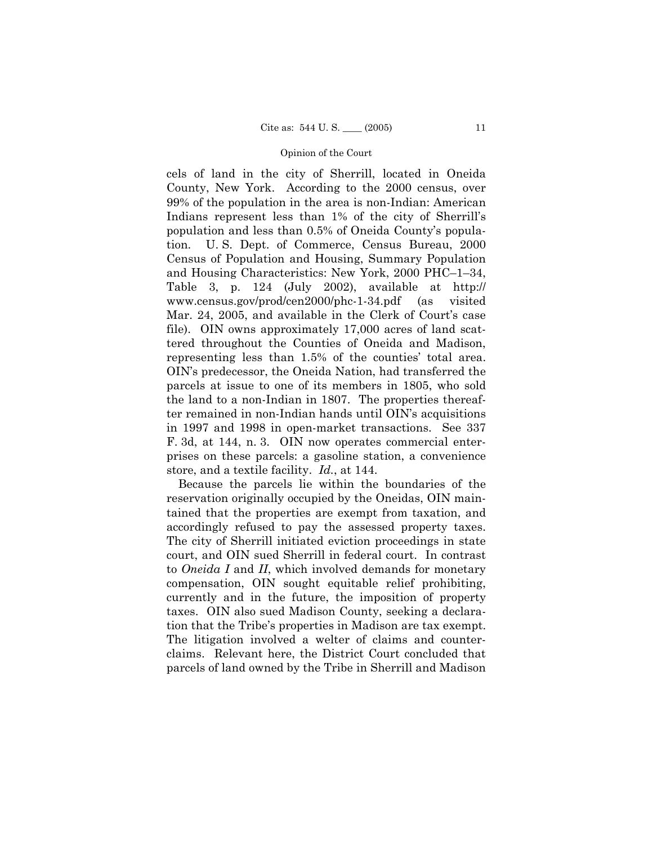cels of land in the city of Sherrill, located in Oneida County, New York. According to the 2000 census, over 99% of the population in the area is non-Indian: American Indians represent less than 1% of the city of Sherrill's population and less than 0.5% of Oneida County's population. U. S. Dept. of Commerce, Census Bureau, 2000 Census of Population and Housing, Summary Population and Housing Characteristics: New York, 2000 PHC–1–34, Table 3, p. 124 (July 2002), available at http:// www.census.gov/prod/cen2000/phc-1-34.pdf (as visited Mar. 24, 2005, and available in the Clerk of Court's case file). OIN owns approximately 17,000 acres of land scattered throughout the Counties of Oneida and Madison, representing less than 1.5% of the counties' total area. OIN's predecessor, the Oneida Nation, had transferred the parcels at issue to one of its members in 1805, who sold the land to a non-Indian in 1807. The properties thereafter remained in non-Indian hands until OIN's acquisitions in 1997 and 1998 in open-market transactions. See 337 F. 3d, at 144, n. 3. OIN now operates commercial enterprises on these parcels: a gasoline station, a convenience store, and a textile facility. *Id.*, at 144.

Because the parcels lie within the boundaries of the reservation originally occupied by the Oneidas, OIN maintained that the properties are exempt from taxation, and accordingly refused to pay the assessed property taxes. The city of Sherrill initiated eviction proceedings in state court, and OIN sued Sherrill in federal court. In contrast to *Oneida I* and *II*, which involved demands for monetary compensation, OIN sought equitable relief prohibiting, currently and in the future, the imposition of property taxes. OIN also sued Madison County, seeking a declaration that the Tribe's properties in Madison are tax exempt. The litigation involved a welter of claims and counterclaims. Relevant here, the District Court concluded that parcels of land owned by the Tribe in Sherrill and Madison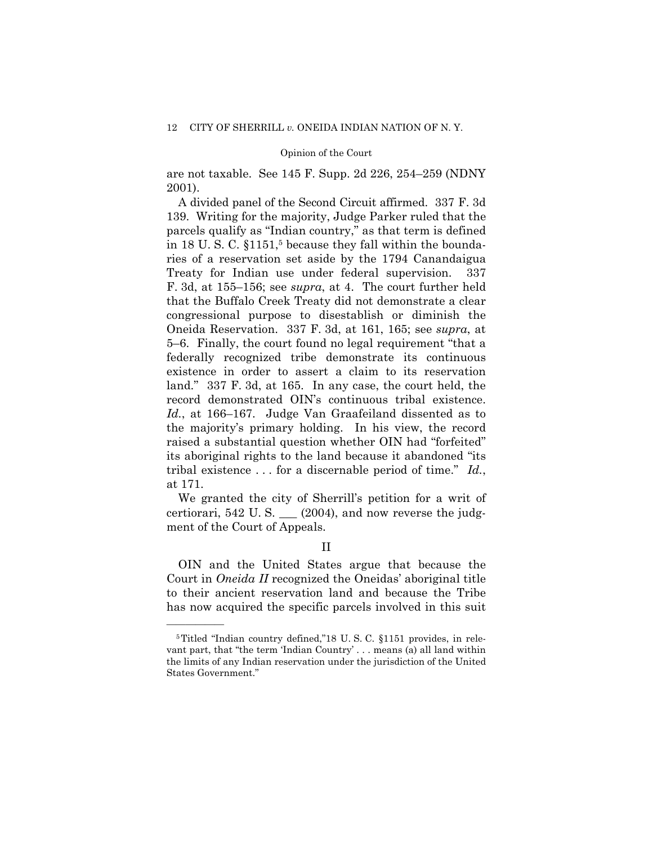are not taxable. See 145 F. Supp. 2d 226, 254–259 (NDNY 2001).

A divided panel of the Second Circuit affirmed. 337 F. 3d 139. Writing for the majority, Judge Parker ruled that the parcels qualify as "Indian country," as that term is defined in 18 U.S.C. §1151,<sup>5</sup> because they fall within the boundaries of a reservation set aside by the 1794 Canandaigua Treaty for Indian use under federal supervision. 337 F. 3d, at 155–156; see *supra*, at 4. The court further held that the Buffalo Creek Treaty did not demonstrate a clear congressional purpose to disestablish or diminish the Oneida Reservation. 337 F. 3d, at 161, 165; see *supra*, at 5–6. Finally, the court found no legal requirement "that a federally recognized tribe demonstrate its continuous existence in order to assert a claim to its reservation land." 337 F. 3d, at 165. In any case, the court held, the record demonstrated OIN's continuous tribal existence. *Id.*, at 166–167. Judge Van Graafeiland dissented as to the majority's primary holding. In his view, the record raised a substantial question whether OIN had "forfeited" its aboriginal rights to the land because it abandoned "its tribal existence . . . for a discernable period of time." *Id.*, at 171.

We granted the city of Sherrill's petition for a writ of certiorari, 542 U. S. \_\_\_ (2004), and now reverse the judgment of the Court of Appeals.

### II

OIN and the United States argue that because the Court in *Oneida II* recognized the Oneidas' aboriginal title to their ancient reservation land and because the Tribe has now acquired the specific parcels involved in this suit

<sup>5</sup>Titled "Indian country defined,"18 U. S. C. §1151 provides, in relevant part, that "the term 'Indian Country' . . . means (a) all land within the limits of any Indian reservation under the jurisdiction of the United States Government."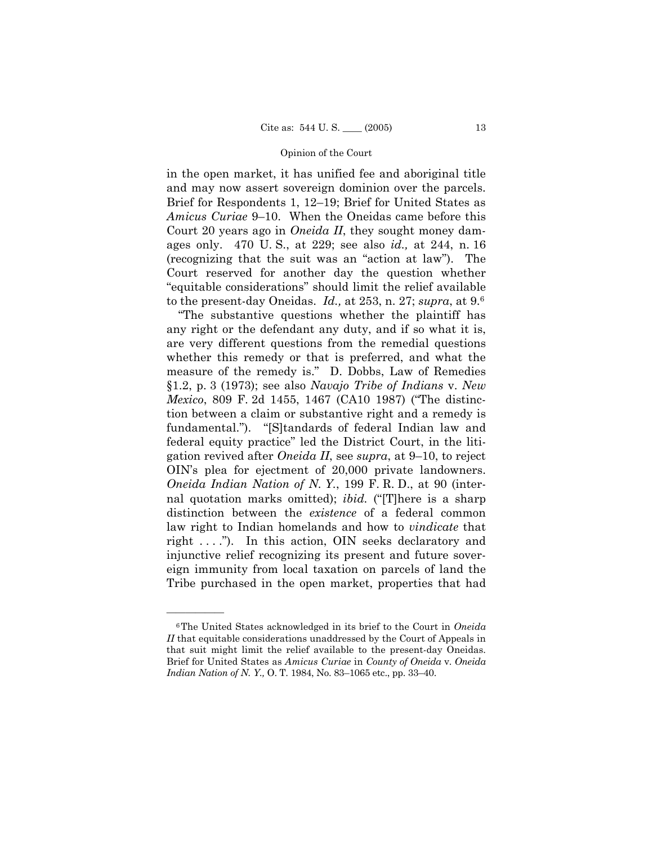in the open market, it has unified fee and aboriginal title and may now assert sovereign dominion over the parcels. Brief for Respondents 1, 12–19; Brief for United States as *Amicus Curiae* 9–10. When the Oneidas came before this Court 20 years ago in *Oneida II*, they sought money damages only. 470 U. S., at 229; see also *id.,* at 244, n. 16 (recognizing that the suit was an "action at law"). The Court reserved for another day the question whether "equitable considerations" should limit the relief available to the present-day Oneidas. *Id.,* at 253, n. 27; *supra*, at 9.6

"The substantive questions whether the plaintiff has any right or the defendant any duty, and if so what it is, are very different questions from the remedial questions whether this remedy or that is preferred, and what the measure of the remedy is." D. Dobbs, Law of Remedies §1.2, p. 3 (1973); see also *Navajo Tribe of Indians* v. *New Mexico*, 809 F. 2d 1455, 1467 (CA10 1987) ("The distinction between a claim or substantive right and a remedy is fundamental."). "[S]tandards of federal Indian law and federal equity practice" led the District Court, in the litigation revived after *Oneida II*, see *supra*, at 9–10, to reject OIN's plea for ejectment of 20,000 private landowners. *Oneida Indian Nation of N. Y.*, 199 F. R. D., at 90 (internal quotation marks omitted); *ibid.* ("[T]here is a sharp distinction between the *existence* of a federal common law right to Indian homelands and how to *vindicate* that right . . . ."). In this action, OIN seeks declaratory and injunctive relief recognizing its present and future sovereign immunity from local taxation on parcels of land the Tribe purchased in the open market, properties that had

<sup>6</sup>The United States acknowledged in its brief to the Court in *Oneida II* that equitable considerations unaddressed by the Court of Appeals in that suit might limit the relief available to the present-day Oneidas. Brief for United States as *Amicus Curiae* in *County of Oneida* v. *Oneida Indian Nation of N. Y.,* O. T. 1984, No. 83–1065 etc., pp. 33–40.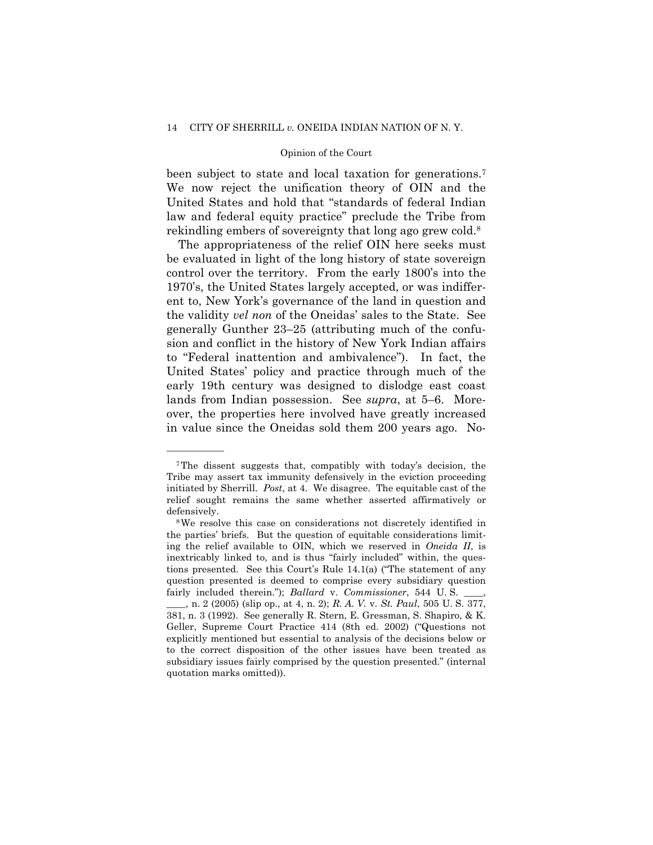been subject to state and local taxation for generations.<sup>7</sup> We now reject the unification theory of OIN and the United States and hold that "standards of federal Indian law and federal equity practice" preclude the Tribe from rekindling embers of sovereignty that long ago grew cold.8

The appropriateness of the relief OIN here seeks must be evaluated in light of the long history of state sovereign control over the territory. From the early 1800's into the 1970's, the United States largely accepted, or was indifferent to, New York's governance of the land in question and the validity *vel non* of the Oneidas' sales to the State. See generally Gunther 23–25 (attributing much of the confusion and conflict in the history of New York Indian affairs to "Federal inattention and ambivalence"). In fact, the United States' policy and practice through much of the early 19th century was designed to dislodge east coast lands from Indian possession. See *supra*, at 5–6. Moreover, the properties here involved have greatly increased in value since the Oneidas sold them 200 years ago. No-

——————

quotation marks omitted)).

<sup>7</sup>The dissent suggests that, compatibly with today's decision, the Tribe may assert tax immunity defensively in the eviction proceeding initiated by Sherrill. *Post*, at 4. We disagree. The equitable cast of the relief sought remains the same whether asserted affirmatively or

defensively.<br><sup>8</sup>We resolve this case on considerations not discretely identified in the parties' briefs. But the question of equitable considerations limiting the relief available to OIN, which we reserved in *Oneida II*, is inextricably linked to, and is thus "fairly included" within, the questions presented. See this Court's Rule 14.1(a) ("The statement of any question presented is deemed to comprise every subsidiary question fairly included therein."); *Ballard v. Commissioner*, 544 U.S. \_\_\_\_, n. 2 (2005) (slip op., at 4, n. 2); *R. A. V.* v. *St. Paul*, 505 U. S. 377, 381, n. 3 (1992). See generally R. Stern, E. Gressman, S. Shapiro, & K. Geller, Supreme Court Practice 414 (8th ed. 2002) ("Questions not explicitly mentioned but essential to analysis of the decisions below or to the correct disposition of the other issues have been treated as subsidiary issues fairly comprised by the question presented." (internal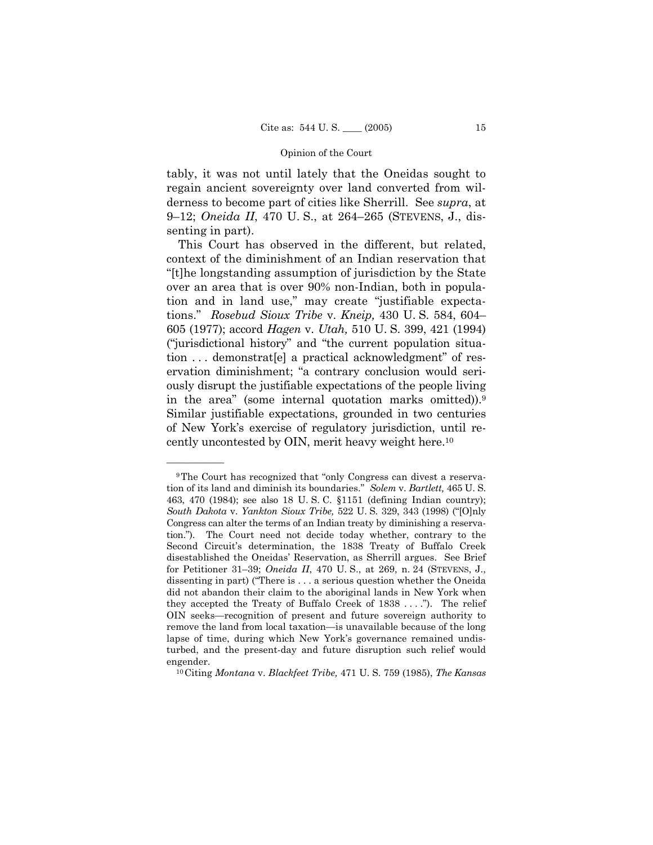tably, it was not until lately that the Oneidas sought to regain ancient sovereignty over land converted from wilderness to become part of cities like Sherrill. See *supra*, at 9–12; *Oneida II*, 470 U. S., at 264–265 (STEVENS, J., dissenting in part).

This Court has observed in the different, but related, context of the diminishment of an Indian reservation that "[t]he longstanding assumption of jurisdiction by the State over an area that is over 90% non-Indian, both in population and in land use," may create "justifiable expectations." *Rosebud Sioux Tribe* v. *Kneip,* 430 U. S. 584, 604– 605 (1977); accord *Hagen* v. *Utah,* 510 U. S. 399, 421 (1994) ("jurisdictional history" and "the current population situation . . . demonstrat[e] a practical acknowledgment" of reservation diminishment; "a contrary conclusion would seriously disrupt the justifiable expectations of the people living in the area" (some internal quotation marks omitted)).9 Similar justifiable expectations, grounded in two centuries of New York's exercise of regulatory jurisdiction, until recently uncontested by OIN, merit heavy weight here.10

<sup>9</sup>The Court has recognized that "only Congress can divest a reservation of its land and diminish its boundaries." *Solem* v. *Bartlett,* 465 U. S. 463, 470 (1984); see also 18 U. S. C. §1151 (defining Indian country); *South Dakota* v. *Yankton Sioux Tribe,* 522 U. S. 329, 343 (1998) ("[O]nly Congress can alter the terms of an Indian treaty by diminishing a reservation."). The Court need not decide today whether, contrary to the Second Circuit's determination, the 1838 Treaty of Buffalo Creek disestablished the Oneidas' Reservation, as Sherrill argues. See Brief for Petitioner 31–39; *Oneida II*, 470 U. S., at 269, n. 24 (STEVENS, J., dissenting in part) ("There is . . . a serious question whether the Oneida did not abandon their claim to the aboriginal lands in New York when they accepted the Treaty of Buffalo Creek of 1838 . . . ."). The relief OIN seeks—recognition of present and future sovereign authority to remove the land from local taxation—is unavailable because of the long lapse of time, during which New York's governance remained undisturbed, and the present-day and future disruption such relief would engender. 10Citing *Montana* v. *Blackfeet Tribe,* 471 U. S. 759 (1985), *The Kansas*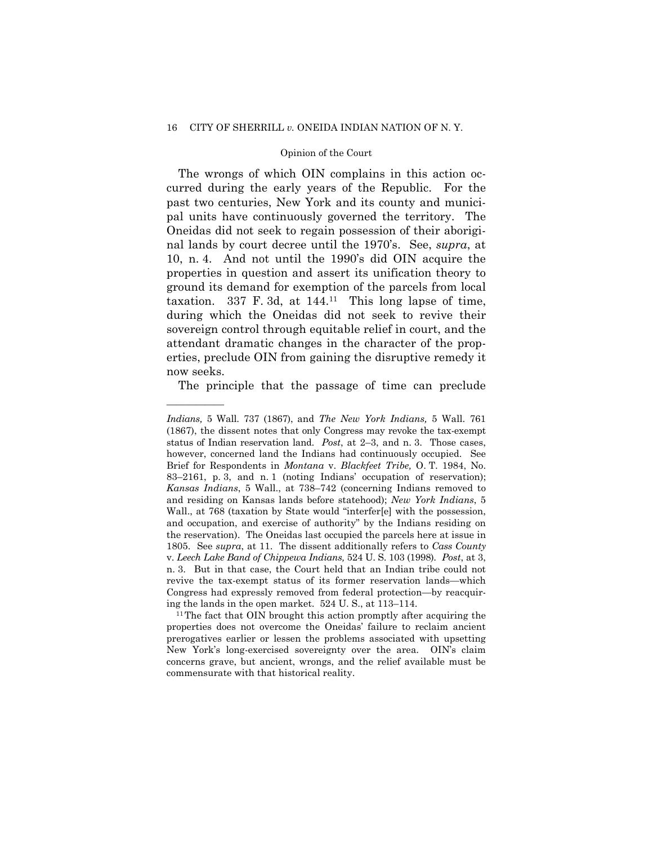#### 16 CITY OF SHERRILL *v.* ONEIDA INDIAN NATION OF N. Y.

#### Opinion of the Court

The wrongs of which OIN complains in this action occurred during the early years of the Republic. For the past two centuries, New York and its county and municipal units have continuously governed the territory. The Oneidas did not seek to regain possession of their aboriginal lands by court decree until the 1970's. See, *supra*, at 10, n. 4. And not until the 1990's did OIN acquire the properties in question and assert its unification theory to ground its demand for exemption of the parcels from local taxation.  $337$  F. 3d, at  $144.11$  This long lapse of time, during which the Oneidas did not seek to revive their sovereign control through equitable relief in court, and the attendant dramatic changes in the character of the properties, preclude OIN from gaining the disruptive remedy it now seeks.

The principle that the passage of time can preclude

——————

properties does not overcome the Oneidas' failure to reclaim ancient prerogatives earlier or lessen the problems associated with upsetting New York's long-exercised sovereignty over the area. OIN's claim concerns grave, but ancient, wrongs, and the relief available must be commensurate with that historical reality.

*Indians,* 5 Wall. 737 (1867), and *The New York Indians,* 5 Wall. 761 (1867), the dissent notes that only Congress may revoke the tax-exempt status of Indian reservation land. *Post*, at 2–3, and n. 3. Those cases, however, concerned land the Indians had continuously occupied. See Brief for Respondents in *Montana* v. *Blackfeet Tribe,* O. T. 1984, No. 83–2161, p. 3, and n. 1 (noting Indians' occupation of reservation); *Kansas Indians*, 5 Wall., at 738–742 (concerning Indians removed to and residing on Kansas lands before statehood); *New York Indians*, 5 Wall., at 768 (taxation by State would "interfer[e] with the possession, and occupation, and exercise of authority" by the Indians residing on the reservation). The Oneidas last occupied the parcels here at issue in 1805. See *supra*, at 11. The dissent additionally refers to *Cass County*  v. *Leech Lake Band of Chippewa Indians,* 524 U. S. 103 (1998). *Post*, at 3, n. 3. But in that case, the Court held that an Indian tribe could not revive the tax-exempt status of its former reservation lands—which Congress had expressly removed from federal protection—by reacquiring the lands in the open market.  $524$  U. S., at 113–114.<br><sup>11</sup>The fact that OIN brought this action promptly after acquiring the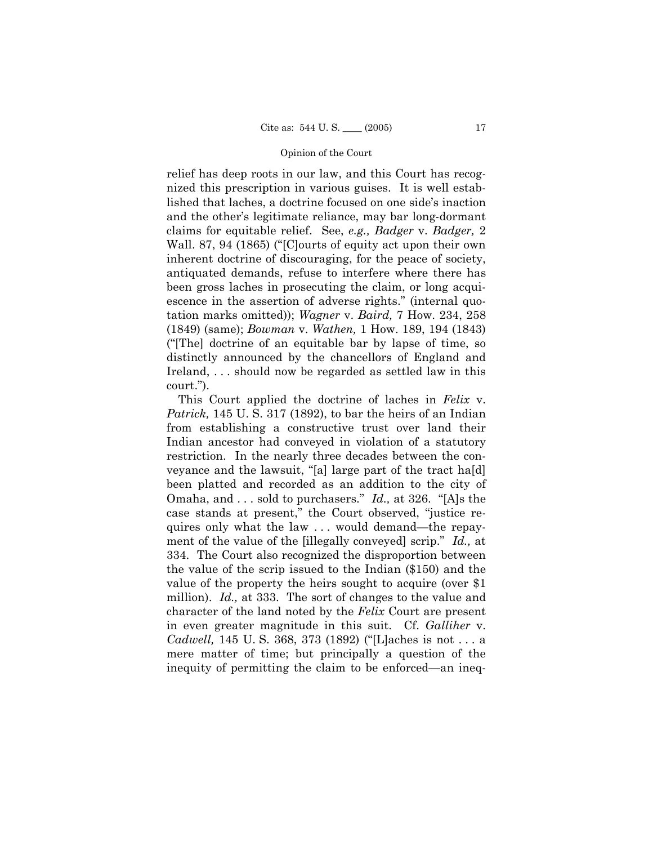relief has deep roots in our law, and this Court has recognized this prescription in various guises. It is well established that laches, a doctrine focused on one side's inaction and the other's legitimate reliance, may bar long-dormant claims for equitable relief. See, *e.g., Badger* v. *Badger,* 2 Wall. 87, 94 (1865) ("[C]ourts of equity act upon their own inherent doctrine of discouraging, for the peace of society, antiquated demands, refuse to interfere where there has been gross laches in prosecuting the claim, or long acquiescence in the assertion of adverse rights." (internal quotation marks omitted)); *Wagner* v. *Baird,* 7 How. 234, 258 (1849) (same); *Bowman* v. *Wathen,* 1 How. 189, 194 (1843) ("[The] doctrine of an equitable bar by lapse of time, so distinctly announced by the chancellors of England and Ireland, . . . should now be regarded as settled law in this court.").

This Court applied the doctrine of laches in *Felix* v. *Patrick,* 145 U. S. 317 (1892), to bar the heirs of an Indian from establishing a constructive trust over land their Indian ancestor had conveyed in violation of a statutory restriction. In the nearly three decades between the conveyance and the lawsuit, "[a] large part of the tract ha[d] been platted and recorded as an addition to the city of Omaha, and . . . sold to purchasers." *Id.,* at 326. "[A]s the case stands at present," the Court observed, "justice requires only what the law . . . would demand—the repayment of the value of the [illegally conveyed] scrip." *Id.,* at 334. The Court also recognized the disproportion between the value of the scrip issued to the Indian (\$150) and the value of the property the heirs sought to acquire (over \$1 million). *Id.,* at 333. The sort of changes to the value and character of the land noted by the *Felix* Court are present in even greater magnitude in this suit. Cf. *Galliher* v. *Cadwell,* 145 U. S. 368, 373 (1892) ("[L]aches is not . . . a mere matter of time; but principally a question of the inequity of permitting the claim to be enforced—an ineq-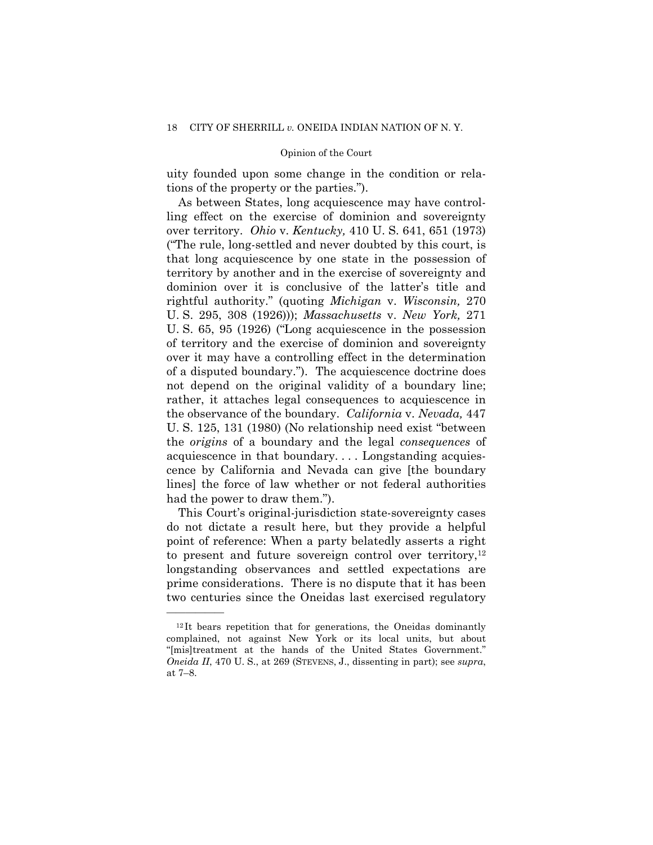uity founded upon some change in the condition or relations of the property or the parties.").

As between States, long acquiescence may have controlling effect on the exercise of dominion and sovereignty over territory. *Ohio* v. *Kentucky,* 410 U. S. 641, 651 (1973) ("The rule, long-settled and never doubted by this court, is that long acquiescence by one state in the possession of territory by another and in the exercise of sovereignty and dominion over it is conclusive of the latter's title and rightful authority." (quoting *Michigan* v. *Wisconsin,* 270 U. S. 295, 308 (1926))); *Massachusetts* v. *New York,* 271 U. S. 65, 95 (1926) ("Long acquiescence in the possession of territory and the exercise of dominion and sovereignty over it may have a controlling effect in the determination of a disputed boundary."). The acquiescence doctrine does not depend on the original validity of a boundary line; rather, it attaches legal consequences to acquiescence in the observance of the boundary. *California* v. *Nevada,* 447 U. S. 125, 131 (1980) (No relationship need exist "between the *origins* of a boundary and the legal *consequences* of acquiescence in that boundary. . . . Longstanding acquiescence by California and Nevada can give [the boundary lines] the force of law whether or not federal authorities had the power to draw them.").

This Court's original-jurisdiction state-sovereignty cases do not dictate a result here, but they provide a helpful point of reference: When a party belatedly asserts a right to present and future sovereign control over territory, $12$ longstanding observances and settled expectations are prime considerations. There is no dispute that it has been two centuries since the Oneidas last exercised regulatory

<sup>&</sup>lt;sup>12</sup>It bears repetition that for generations, the Oneidas dominantly complained, not against New York or its local units, but about "[mis]treatment at the hands of the United States Government." *Oneida II*, 470 U. S., at 269 (STEVENS, J., dissenting in part); see *supra*, at 7–8.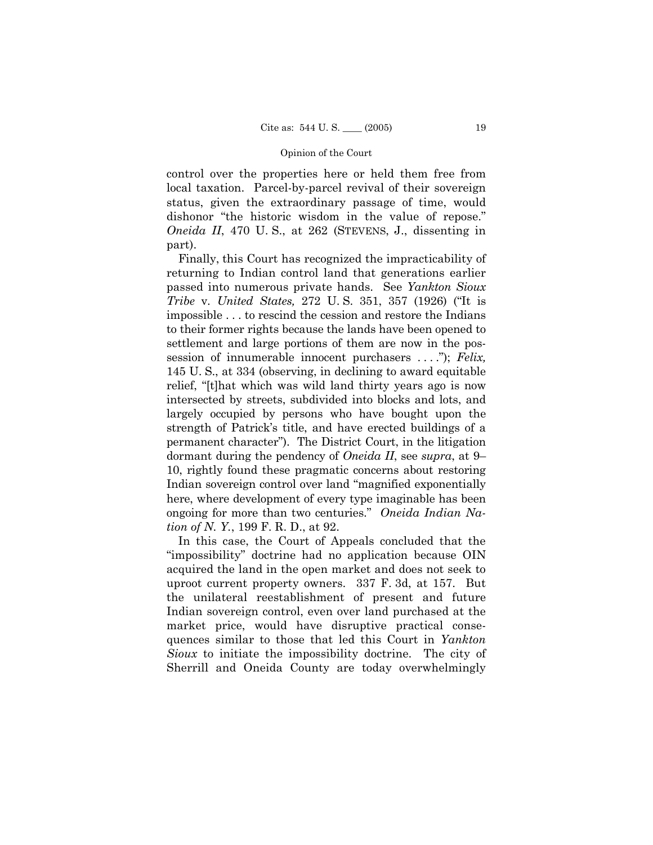control over the properties here or held them free from local taxation. Parcel-by-parcel revival of their sovereign status, given the extraordinary passage of time, would dishonor "the historic wisdom in the value of repose." *Oneida II*, 470 U.S., at 262 (STEVENS, J., dissenting in part).

Finally, this Court has recognized the impracticability of returning to Indian control land that generations earlier passed into numerous private hands. See *Yankton Sioux Tribe* v. *United States,* 272 U. S. 351, 357 (1926) ("It is impossible . . . to rescind the cession and restore the Indians to their former rights because the lands have been opened to settlement and large portions of them are now in the possession of innumerable innocent purchasers . . . ."); *Felix,*  145 U. S., at 334 (observing, in declining to award equitable relief, "[t]hat which was wild land thirty years ago is now intersected by streets, subdivided into blocks and lots, and largely occupied by persons who have bought upon the strength of Patrick's title, and have erected buildings of a permanent character"). The District Court, in the litigation dormant during the pendency of *Oneida II*, see *supra*, at 9– 10, rightly found these pragmatic concerns about restoring Indian sovereign control over land "magnified exponentially here, where development of every type imaginable has been ongoing for more than two centuries." *Oneida Indian Nation of N. Y.*, 199 F. R. D., at 92.

In this case, the Court of Appeals concluded that the "impossibility" doctrine had no application because OIN acquired the land in the open market and does not seek to uproot current property owners. 337 F. 3d, at 157. But the unilateral reestablishment of present and future Indian sovereign control, even over land purchased at the market price, would have disruptive practical consequences similar to those that led this Court in *Yankton Sioux* to initiate the impossibility doctrine. The city of Sherrill and Oneida County are today overwhelmingly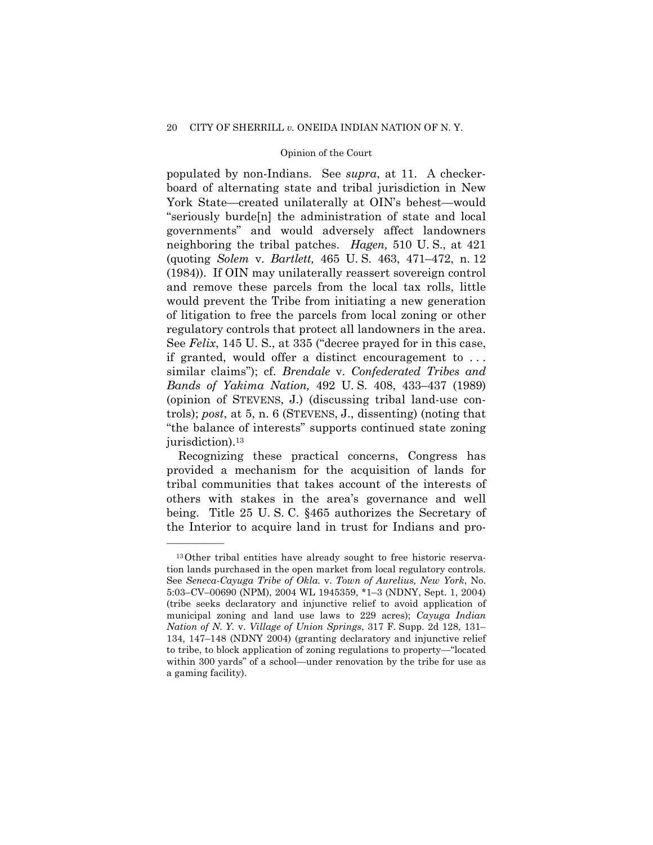populated by non-Indians. See *supra*, at 11. A checkerboard of alternating state and tribal jurisdiction in New York State—created unilaterally at OIN's behest—would "seriously burde[n] the administration of state and local governments" and would adversely affect landowners neighboring the tribal patches. *Hagen,* 510 U. S., at 421 (quoting *Solem* v. *Bartlett,* 465 U. S. 463, 471–472, n. 12 (1984)). If OIN may unilaterally reassert sovereign control and remove these parcels from the local tax rolls, little would prevent the Tribe from initiating a new generation of litigation to free the parcels from local zoning or other regulatory controls that protect all landowners in the area. See *Felix*, 145 U. S., at 335 ("decree prayed for in this case, if granted, would offer a distinct encouragement to . . . similar claims"); cf. *Brendale* v. *Confederated Tribes and Bands of Yakima Nation,* 492 U. S. 408, 433–437 (1989) (opinion of STEVENS, J.) (discussing tribal land-use controls); *post*, at 5, n. 6 (STEVENS, J., dissenting) (noting that "the balance of interests" supports continued state zoning jurisdiction).<sup>13</sup>

Recognizing these practical concerns, Congress has provided a mechanism for the acquisition of lands for tribal communities that takes account of the interests of others with stakes in the area's governance and well being. Title 25 U. S. C. §465 authorizes the Secretary of the Interior to acquire land in trust for Indians and pro-

<sup>13</sup>Other tribal entities have already sought to free historic reservation lands purchased in the open market from local regulatory controls. See *Seneca-Cayuga Tribe of Okla.* v. *Town of Aurelius, New York*, No. 5:03–CV–00690 (NPM), 2004 WL 1945359, \*1–3 (NDNY, Sept. 1, 2004) (tribe seeks declaratory and injunctive relief to avoid application of municipal zoning and land use laws to 229 acres); *Cayuga Indian Nation of N. Y.* v. *Village of Union Springs*, 317 F. Supp. 2d 128, 131– 134, 147–148 (NDNY 2004) (granting declaratory and injunctive relief to tribe, to block application of zoning regulations to property—"located within 300 yards" of a school—under renovation by the tribe for use as a gaming facility).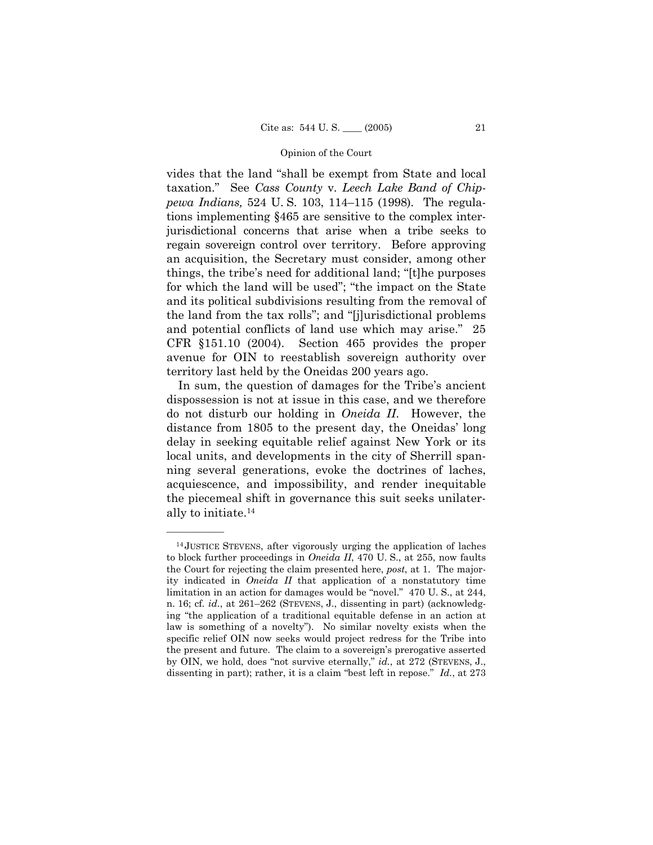vides that the land "shall be exempt from State and local taxation." See *Cass County* v. *Leech Lake Band of Chippewa Indians,* 524 U. S. 103, 114–115 (1998). The regulations implementing §465 are sensitive to the complex interjurisdictional concerns that arise when a tribe seeks to regain sovereign control over territory. Before approving an acquisition, the Secretary must consider, among other things, the tribe's need for additional land; "[t]he purposes for which the land will be used"; "the impact on the State and its political subdivisions resulting from the removal of the land from the tax rolls"; and "[j]urisdictional problems and potential conflicts of land use which may arise." 25 CFR §151.10 (2004). Section 465 provides the proper avenue for OIN to reestablish sovereign authority over territory last held by the Oneidas 200 years ago.

In sum, the question of damages for the Tribe's ancient dispossession is not at issue in this case, and we therefore do not disturb our holding in *Oneida II*. However, the distance from 1805 to the present day, the Oneidas' long delay in seeking equitable relief against New York or its local units, and developments in the city of Sherrill spanning several generations, evoke the doctrines of laches, acquiescence, and impossibility, and render inequitable the piecemeal shift in governance this suit seeks unilaterally to initiate.14

<sup>14</sup> JUSTICE STEVENS, after vigorously urging the application of laches to block further proceedings in *Oneida II*, 470 U. S., at 255, now faults the Court for rejecting the claim presented here, *post*, at 1. The majority indicated in *Oneida II* that application of a nonstatutory time limitation in an action for damages would be "novel." 470 U. S., at 244, n. 16; cf. *id.*, at 261–262 (STEVENS, J., dissenting in part) (acknowledging "the application of a traditional equitable defense in an action at law is something of a novelty"). No similar novelty exists when the specific relief OIN now seeks would project redress for the Tribe into the present and future. The claim to a sovereign's prerogative asserted by OIN, we hold, does "not survive eternally," *id.*, at 272 (STEVENS, J., dissenting in part); rather, it is a claim "best left in repose." *Id.*, at 273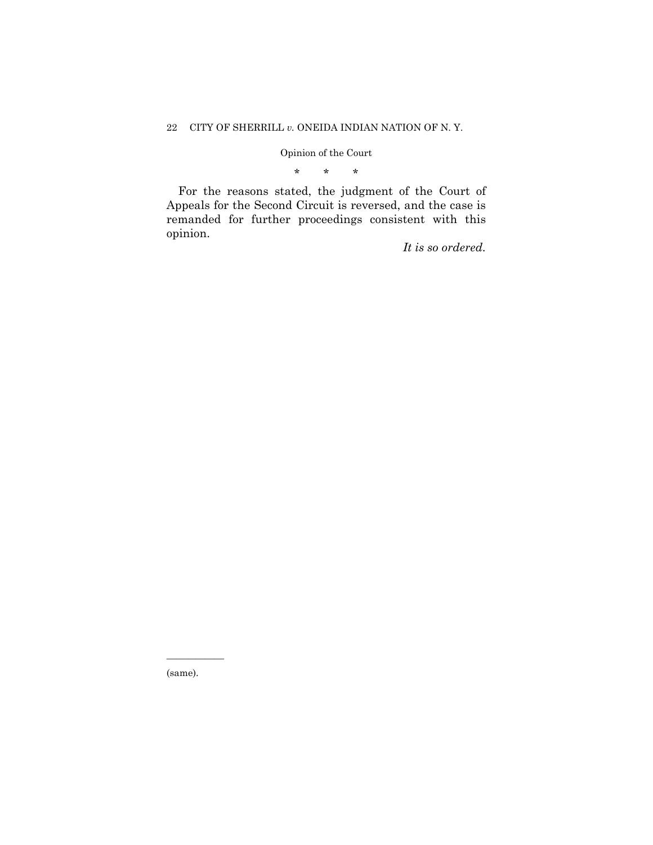\* \* \*

For the reasons stated, the judgment of the Court of Appeals for the Second Circuit is reversed, and the case is remanded for further proceedings consistent with this opinion.

*It is so ordered.* 

(same).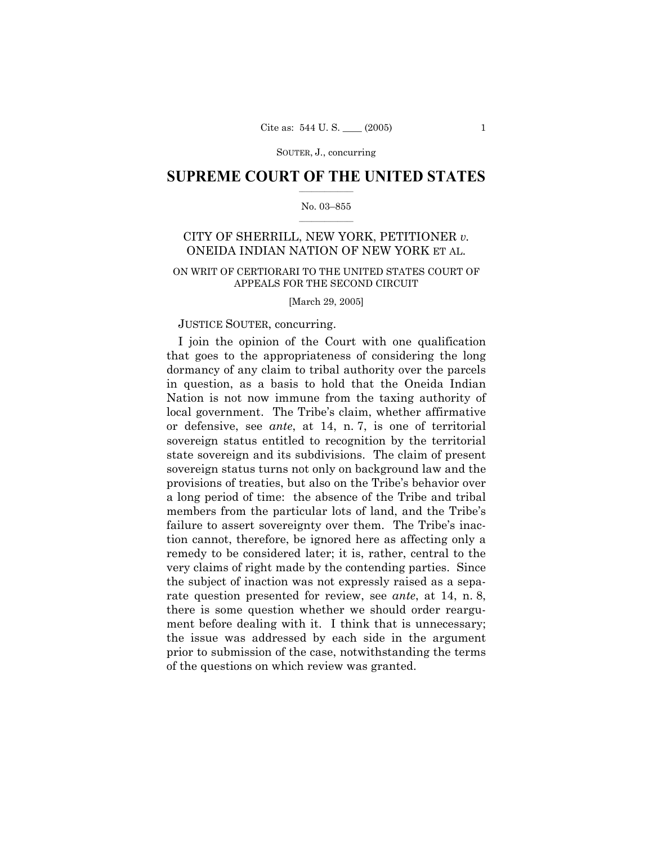SOUTER, J., concurring

### $\frac{1}{2}$  ,  $\frac{1}{2}$  ,  $\frac{1}{2}$  ,  $\frac{1}{2}$  ,  $\frac{1}{2}$  ,  $\frac{1}{2}$  ,  $\frac{1}{2}$ **SUPREME COURT OF THE UNITED STATES**

### $\mathcal{L}=\mathcal{L}$ No. 03–855

# CITY OF SHERRILL, NEW YORK, PETITIONER *v.* ONEIDA INDIAN NATION OF NEW YORK ET AL.

### ON WRIT OF CERTIORARI TO THE UNITED STATES COURT OF APPEALS FOR THE SECOND CIRCUIT

[March 29, 2005]

### JUSTICE SOUTER, concurring.

I join the opinion of the Court with one qualification that goes to the appropriateness of considering the long dormancy of any claim to tribal authority over the parcels in question, as a basis to hold that the Oneida Indian Nation is not now immune from the taxing authority of local government. The Tribe's claim, whether affirmative or defensive, see *ante*, at 14, n. 7, is one of territorial sovereign status entitled to recognition by the territorial state sovereign and its subdivisions. The claim of present sovereign status turns not only on background law and the provisions of treaties, but also on the Tribe's behavior over a long period of time: the absence of the Tribe and tribal members from the particular lots of land, and the Tribe's failure to assert sovereignty over them. The Tribe's inaction cannot, therefore, be ignored here as affecting only a remedy to be considered later; it is, rather, central to the very claims of right made by the contending parties. Since the subject of inaction was not expressly raised as a separate question presented for review, see *ante*, at 14, n. 8, there is some question whether we should order reargument before dealing with it. I think that is unnecessary; the issue was addressed by each side in the argument prior to submission of the case, notwithstanding the terms of the questions on which review was granted.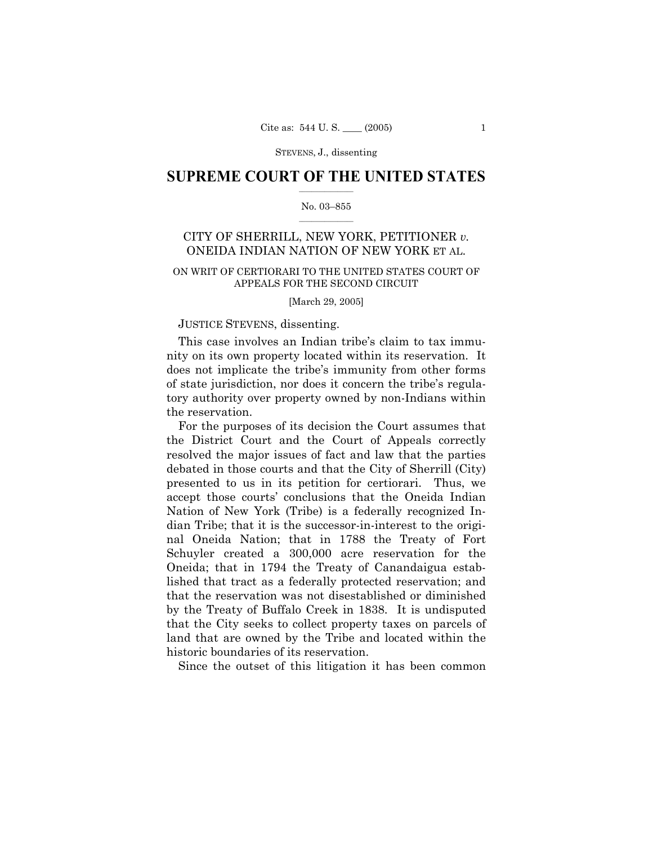### $\frac{1}{2}$  ,  $\frac{1}{2}$  ,  $\frac{1}{2}$  ,  $\frac{1}{2}$  ,  $\frac{1}{2}$  ,  $\frac{1}{2}$  ,  $\frac{1}{2}$ **SUPREME COURT OF THE UNITED STATES**

### $\mathcal{L}=\mathcal{L}$ No. 03–855

# CITY OF SHERRILL, NEW YORK, PETITIONER *v.*  ONEIDA INDIAN NATION OF NEW YORK ET AL.

### ON WRIT OF CERTIORARI TO THE UNITED STATES COURT OF APPEALS FOR THE SECOND CIRCUIT

[March 29, 2005]

### JUSTICE STEVENS, dissenting.

This case involves an Indian tribe's claim to tax immunity on its own property located within its reservation. It does not implicate the tribe's immunity from other forms of state jurisdiction, nor does it concern the tribe's regulatory authority over property owned by non-Indians within the reservation.

For the purposes of its decision the Court assumes that the District Court and the Court of Appeals correctly resolved the major issues of fact and law that the parties debated in those courts and that the City of Sherrill (City) presented to us in its petition for certiorari. Thus, we accept those courts' conclusions that the Oneida Indian Nation of New York (Tribe) is a federally recognized Indian Tribe; that it is the successor-in-interest to the original Oneida Nation; that in 1788 the Treaty of Fort Schuyler created a 300,000 acre reservation for the Oneida; that in 1794 the Treaty of Canandaigua established that tract as a federally protected reservation; and that the reservation was not disestablished or diminished by the Treaty of Buffalo Creek in 1838. It is undisputed that the City seeks to collect property taxes on parcels of land that are owned by the Tribe and located within the historic boundaries of its reservation.

Since the outset of this litigation it has been common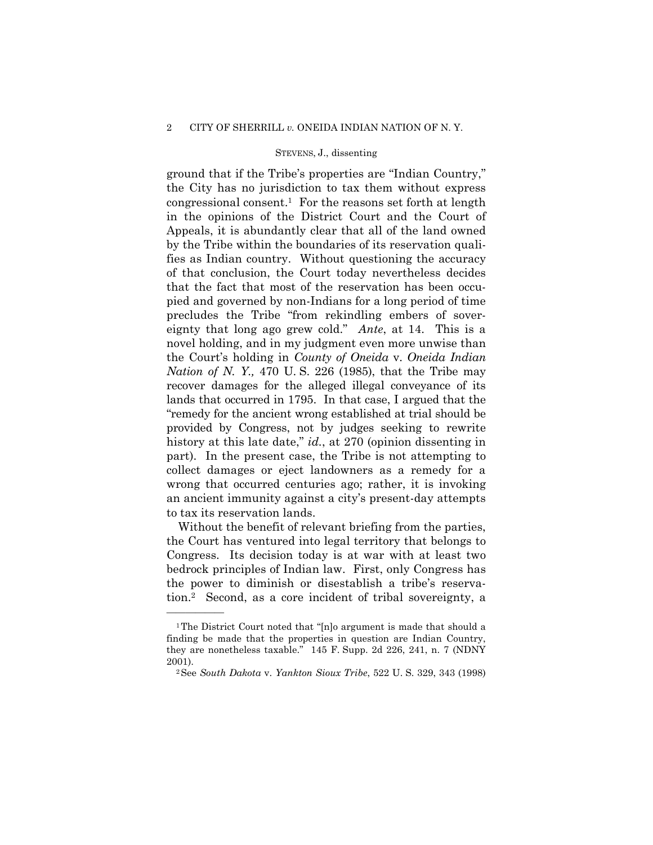ground that if the Tribe's properties are "Indian Country," the City has no jurisdiction to tax them without express congressional consent.1 For the reasons set forth at length in the opinions of the District Court and the Court of Appeals, it is abundantly clear that all of the land owned by the Tribe within the boundaries of its reservation qualifies as Indian country. Without questioning the accuracy of that conclusion, the Court today nevertheless decides that the fact that most of the reservation has been occupied and governed by non-Indians for a long period of time precludes the Tribe "from rekindling embers of sovereignty that long ago grew cold." *Ante*, at 14. This is a novel holding, and in my judgment even more unwise than the Court's holding in *County of Oneida* v. *Oneida Indian Nation of N. Y.,* 470 U. S. 226 (1985), that the Tribe may recover damages for the alleged illegal conveyance of its lands that occurred in 1795. In that case, I argued that the "remedy for the ancient wrong established at trial should be provided by Congress, not by judges seeking to rewrite history at this late date," *id.*, at 270 (opinion dissenting in part). In the present case, the Tribe is not attempting to collect damages or eject landowners as a remedy for a wrong that occurred centuries ago; rather, it is invoking an ancient immunity against a city's present-day attempts to tax its reservation lands.

Without the benefit of relevant briefing from the parties, the Court has ventured into legal territory that belongs to Congress. Its decision today is at war with at least two bedrock principles of Indian law. First, only Congress has the power to diminish or disestablish a tribe's reservation.2 Second, as a core incident of tribal sovereignty, a

<sup>1</sup>The District Court noted that "[n]o argument is made that should a finding be made that the properties in question are Indian Country, they are nonetheless taxable." 145 F. Supp. 2d 226, 241, n. 7 (NDNY 2001). 2See *South Dakota* v. *Yankton Sioux Tribe*, 522 U. S. 329, 343 (1998)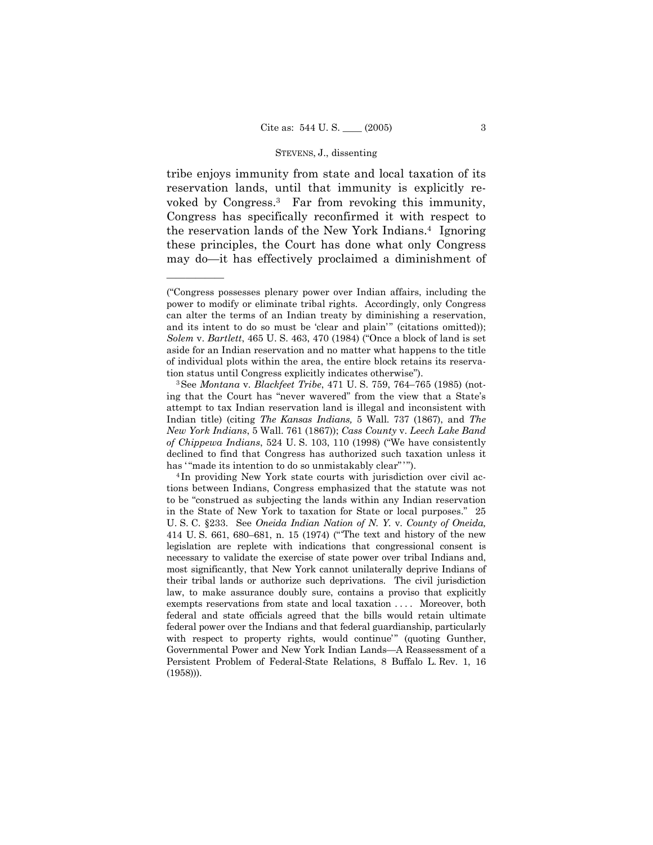tribe enjoys immunity from state and local taxation of its reservation lands, until that immunity is explicitly revoked by Congress.3 Far from revoking this immunity, Congress has specifically reconfirmed it with respect to the reservation lands of the New York Indians.4 Ignoring these principles, the Court has done what only Congress may do—it has effectively proclaimed a diminishment of

<sup>(&</sup>quot;Congress possesses plenary power over Indian affairs, including the power to modify or eliminate tribal rights. Accordingly, only Congress can alter the terms of an Indian treaty by diminishing a reservation, and its intent to do so must be 'clear and plain'" (citations omitted)); *Solem* v. *Bartlett*, 465 U. S. 463, 470 (1984) ("Once a block of land is set aside for an Indian reservation and no matter what happens to the title of individual plots within the area, the entire block retains its reservation status until Congress explicitly indicates otherwise"). 3See *Montana* v*. Blackfeet Tribe*, 471 U. S. 759, 764–765 (1985) (not-

ing that the Court has "never wavered" from the view that a State's attempt to tax Indian reservation land is illegal and inconsistent with Indian title) (citing *The Kansas Indians,* 5 Wall. 737 (1867), and *The New York Indians*, 5 Wall. 761 (1867)); *Cass County* v. *Leech Lake Band of Chippewa Indians*, 524 U. S. 103, 110 (1998) ("We have consistently declined to find that Congress has authorized such taxation unless it has "made its intention to do so unmistakably clear"").<br><sup>4</sup> In providing New York state courts with jurisdiction over civil ac-

tions between Indians, Congress emphasized that the statute was not to be "construed as subjecting the lands within any Indian reservation in the State of New York to taxation for State or local purposes." 25 U. S. C. §233. See *Oneida Indian Nation of N. Y.* v. *County of Oneida,*  414 U. S. 661, 680–681, n. 15 (1974) (" 'The text and history of the new legislation are replete with indications that congressional consent is necessary to validate the exercise of state power over tribal Indians and, most significantly, that New York cannot unilaterally deprive Indians of their tribal lands or authorize such deprivations. The civil jurisdiction law, to make assurance doubly sure, contains a proviso that explicitly exempts reservations from state and local taxation . . . . Moreover, both federal and state officials agreed that the bills would retain ultimate federal power over the Indians and that federal guardianship, particularly with respect to property rights, would continue'" (quoting Gunther, Governmental Power and New York Indian Lands—A Reassessment of a Persistent Problem of Federal-State Relations, 8 Buffalo L. Rev. 1, 16 (1958))).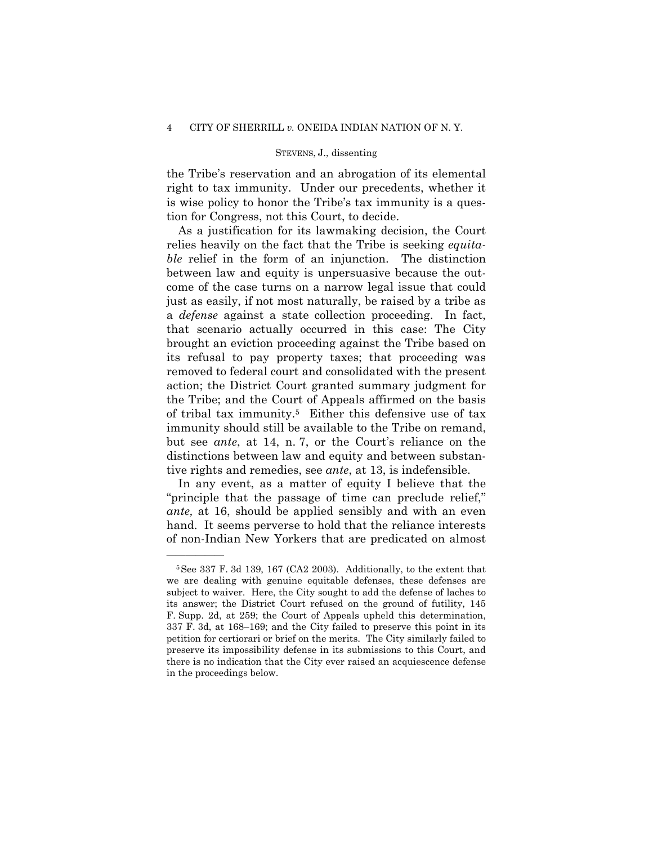the Tribe's reservation and an abrogation of its elemental right to tax immunity. Under our precedents, whether it is wise policy to honor the Tribe's tax immunity is a question for Congress, not this Court, to decide.

As a justification for its lawmaking decision, the Court relies heavily on the fact that the Tribe is seeking *equitable* relief in the form of an injunction. The distinction between law and equity is unpersuasive because the outcome of the case turns on a narrow legal issue that could just as easily, if not most naturally, be raised by a tribe as a *defense* against a state collection proceeding. In fact, that scenario actually occurred in this case: The City brought an eviction proceeding against the Tribe based on its refusal to pay property taxes; that proceeding was removed to federal court and consolidated with the present action; the District Court granted summary judgment for the Tribe; and the Court of Appeals affirmed on the basis of tribal tax immunity.5 Either this defensive use of tax immunity should still be available to the Tribe on remand, but see *ante*, at 14, n. 7, or the Court's reliance on the distinctions between law and equity and between substantive rights and remedies, see *ante*, at 13, is indefensible.

In any event, as a matter of equity I believe that the "principle that the passage of time can preclude relief," *ante,* at 16, should be applied sensibly and with an even hand. It seems perverse to hold that the reliance interests of non-Indian New Yorkers that are predicated on almost

<sup>5</sup>See 337 F. 3d 139, 167 (CA2 2003). Additionally, to the extent that we are dealing with genuine equitable defenses, these defenses are subject to waiver. Here, the City sought to add the defense of laches to its answer; the District Court refused on the ground of futility, 145 F. Supp. 2d, at 259; the Court of Appeals upheld this determination, 337 F. 3d, at 168–169; and the City failed to preserve this point in its petition for certiorari or brief on the merits. The City similarly failed to preserve its impossibility defense in its submissions to this Court, and there is no indication that the City ever raised an acquiescence defense in the proceedings below.